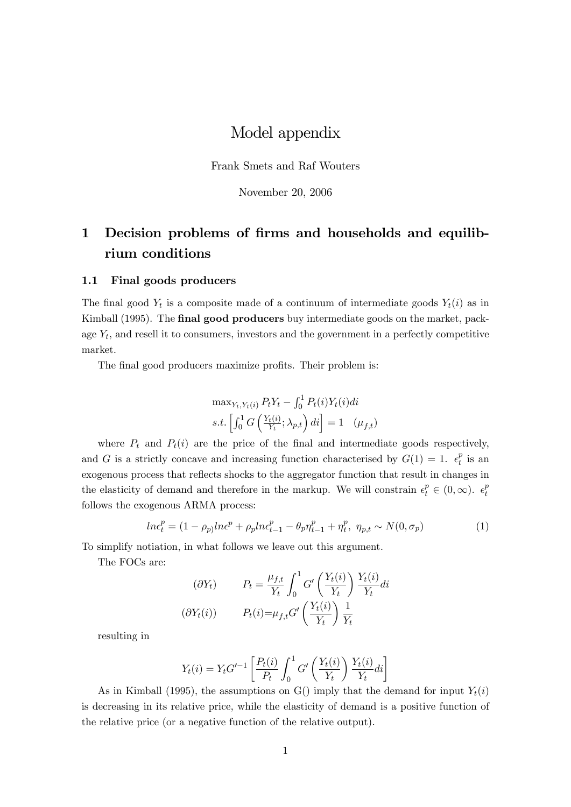## Model appendix

Frank Smets and Raf Wouters

November 20, 2006

# 1 Decision problems of firms and households and equilibrium conditions

#### 1.1 Final goods producers

The final good  $Y_t$  is a composite made of a continuum of intermediate goods  $Y_t(i)$  as in Kimball (1995). The final good producers buy intermediate goods on the market, package  $Y_t$ , and resell it to consumers, investors and the government in a perfectly competitive market.

The final good producers maximize profits. Their problem is:

$$
\max_{Y_t, Y_t(i)} P_t Y_t - \int_0^1 P_t(i) Y_t(i) di
$$
  
s.t. 
$$
\left[ \int_0^1 G\left(\frac{Y_t(i)}{Y_t}; \lambda_{p,t}\right) di \right] = 1 \quad (\mu_{f,t})
$$

where  $P_t$  and  $P_t(i)$  are the price of the final and intermediate goods respectively, and G is a strictly concave and increasing function characterised by  $G(1) = 1$ .  $\epsilon_t^p$  $\frac{p}{t}$  is an exogenous process that reflects shocks to the aggregator function that result in changes in the elasticity of demand and therefore in the markup. We will constrain  $\epsilon_t^p \in (0,\infty)$ .  $\epsilon_t^p$ t follows the exogenous ARMA process:

$$
ln\epsilon_t^p = (1 - \rho_p)ln\epsilon^p + \rho_p ln\epsilon_{t-1}^p - \theta_p \eta_{t-1}^p + \eta_t^p, \ \eta_{p,t} \sim N(0, \sigma_p)
$$
 (1)

To simplify notiation, in what follows we leave out this argument.

The FOCs are:

$$
P_t = \frac{\mu_{f,t}}{Y_t} \int_0^1 G' \left(\frac{Y_t(i)}{Y_t}\right) \frac{Y_t(i)}{Y_t} di
$$
  

$$
P_t(i) = \mu_{f,t} G' \left(\frac{Y_t(i)}{Y_t}\right) \frac{1}{Y_t}
$$

resulting in

$$
Y_t(i) = Y_t G'^{-1} \left[ \frac{P_t(i)}{P_t} \int_0^1 G' \left( \frac{Y_t(i)}{Y_t} \right) \frac{Y_t(i)}{Y_t} di \right]
$$

As in Kimball (1995), the assumptions on G() imply that the demand for input  $Y_t(i)$ is decreasing in its relative price, while the elasticity of demand is a positive function of the relative price (or a negative function of the relative output).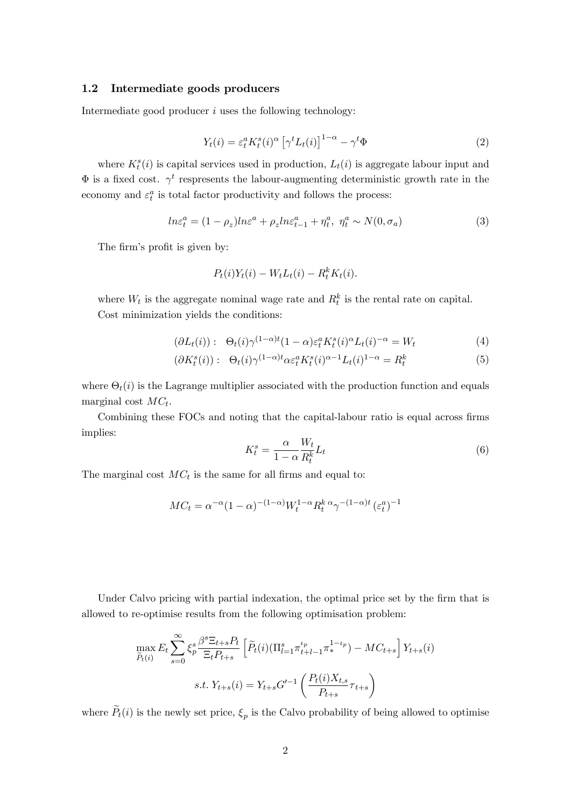#### 1.2 Intermediate goods producers

Intermediate good producer  $i$  uses the following technology:

$$
Y_t(i) = \varepsilon_t^a K_t^s(i)^\alpha \left[ \gamma^t L_t(i) \right]^{1-\alpha} - \gamma^t \Phi \tag{2}
$$

where  $K_t^s(i)$  is capital services used in production,  $L_t(i)$  is aggregate labour input and  $\Phi$  is a fixed cost.  $\gamma^t$  respresents the labour-augmenting deterministic growth rate in the economy and  $\varepsilon_t^a$  is total factor productivity and follows the process:

$$
ln\varepsilon_t^a = (1 - \rho_z)ln\varepsilon^a + \rho_z ln\varepsilon_{t-1}^a + \eta_t^a, \ \eta_t^a \sim N(0, \sigma_a)
$$
 (3)

The firm's profit is given by:

$$
P_t(i)Y_t(i) - W_t L_t(i) - R_t^k K_t(i).
$$

where  $W_t$  is the aggregate nominal wage rate and  $R_t^k$  is the rental rate on capital. Cost minimization yields the conditions:

$$
(\partial L_t(i)) : \Theta_t(i)\gamma^{(1-\alpha)t}(1-\alpha)\varepsilon_t^a K_t^s(i)^{\alpha} L_t(i)^{-\alpha} = W_t
$$
\n<sup>(4)</sup>

$$
(\partial K_t^s(i)) : \Theta_t(i) \gamma^{(1-\alpha)t} \alpha \varepsilon_t^a K_t^s(i)^{\alpha-1} L_t(i)^{1-\alpha} = R_t^k
$$
\n
$$
(5)
$$

where  $\Theta_t(i)$  is the Lagrange multiplier associated with the production function and equals marginal cost  $MC_t$ .

Combining these FOCs and noting that the capital-labour ratio is equal across firms implies:

$$
K_t^s = \frac{\alpha}{1 - \alpha} \frac{W_t}{R_t^k} L_t \tag{6}
$$

The marginal cost  $MC_t$  is the same for all firms and equal to:

$$
MC_t = \alpha^{-\alpha} (1 - \alpha)^{-(1 - \alpha)} W_t^{1 - \alpha} R_t^k {\alpha} \gamma^{-(1 - \alpha)t} (\varepsilon_t^a)^{-1}
$$

Under Calvo pricing with partial indexation, the optimal price set by the firm that is allowed to re-optimise results from the following optimisation problem:

$$
\max_{\tilde{P}_t(i)} E_t \sum_{s=0}^{\infty} \xi_p^s \frac{\beta^s \Xi_{t+s} P_t}{\Xi_t P_{t+s}} \left[ \tilde{P}_t(i) (\Pi_{l=1}^s \pi_{t+l-1}^{t_p} \pi_*^{1-t_p}) - MC_{t+s} \right] Y_{t+s}(i)
$$
  
s.t.  $Y_{t+s}(i) = Y_{t+s} G'^{-1} \left( \frac{P_t(i) X_{t,s}}{P_{t+s}} \tau_{t+s} \right)$ 

where  $P_t(i)$  is the newly set price,  $\xi_p$  is the Calvo probability of being allowed to optimise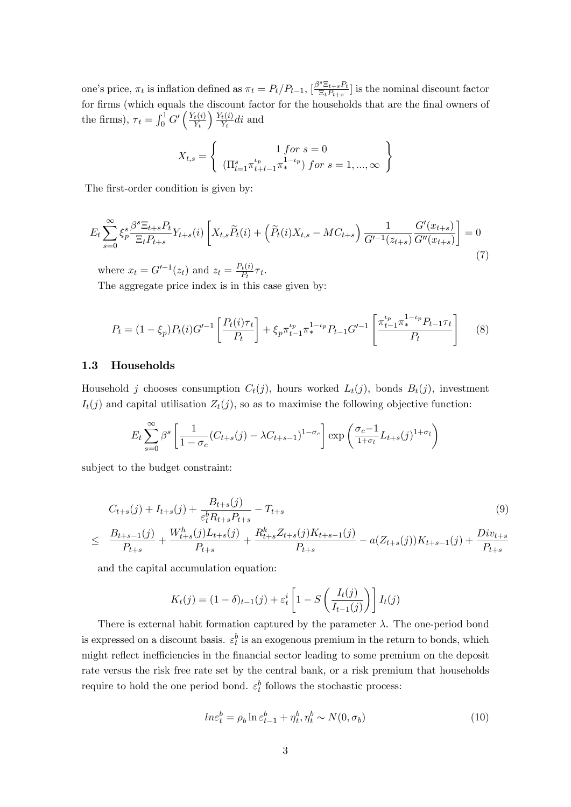one's price,  $\pi_t$  is inflation defined as  $\pi_t = P_t/P_{t-1}$ ,  $\left[\frac{\beta^s \Xi_{t+s} P_t}{\Xi_t P_{t+s}}\right]$  $\left[ \frac{\Sigma_{t+s} P_t}{\Xi_t P_{t+s}} \right]$  is the nominal discount factor for firms (which equals the discount factor for the households that are the final owners of the firms),  $\tau_t = \int_0^1 G' \left( \frac{Y_t(i)}{Y_t} \right)$  $Y_t$  $Y_t(i)$  $\frac{t(t)}{Y_t}$ di and

$$
X_{t,s} = \left\{ \begin{array}{c} 1 \text{ for } s = 0 \\ (\Pi_{l=1}^s \pi_{t+l-1}^{t_p} \pi_*^{1-t_p}) \text{ for } s = 1, ..., \infty \end{array} \right\}
$$

The first-order condition is given by:

$$
E_t \sum_{s=0}^{\infty} \xi_p^s \frac{\beta^s \Xi_{t+s} P_t}{\Xi_t P_{t+s}} Y_{t+s}(i) \left[ X_{t,s} \widetilde{P}_t(i) + \left( \widetilde{P}_t(i) X_{t,s} - MC_{t+s} \right) \frac{1}{G'^{-1}(z_{t+s})} \frac{G'(x_{t+s})}{G''(x_{t+s})} \right] = 0
$$
\n(7)

where  $x_t = G'^{-1}(z_t)$  and  $z_t = \frac{P_t(i)}{P_t}$  $\frac{t(t)}{P_t}\tau_t.$ 

The aggregate price index is in this case given by:

$$
P_t = (1 - \xi_p) P_t(i) G'^{-1} \left[ \frac{P_t(i)\tau_t}{P_t} \right] + \xi_p \pi_{t-1}^{\iota_p} \pi_*^{1-\iota_p} P_{t-1} G'^{-1} \left[ \frac{\pi_{t-1}^{\iota_p} \pi_*^{1-\iota_p} P_{t-1} \tau_t}{P_t} \right] \tag{8}
$$

#### 1.3 Households

Household j chooses consumption  $C_t(j)$ , hours worked  $L_t(j)$ , bonds  $B_t(j)$ , investment  $I_t(j)$  and capital utilisation  $Z_t(j)$ , so as to maximise the following objective function:

$$
E_t \sum_{s=0}^{\infty} \beta^s \left[ \frac{1}{1 - \sigma_c} (C_{t+s}(j) - \lambda C_{t+s-1})^{1 - \sigma_c} \right] \exp \left( \frac{\sigma_c - 1}{1 + \sigma_t} L_{t+s}(j)^{1 + \sigma_t} \right)
$$

subject to the budget constraint:

$$
C_{t+s}(j) + I_{t+s}(j) + \frac{B_{t+s}(j)}{\varepsilon_t^b R_{t+s} P_{t+s}} - T_{t+s}
$$
\n
$$
\leq \frac{B_{t+s-1}(j)}{P_{t+s}} + \frac{W_{t+s}^h(j)L_{t+s}(j)}{P_{t+s}} + \frac{R_{t+s}^k Z_{t+s}(j)K_{t+s-1}(j)}{P_{t+s}} - a(Z_{t+s}(j))K_{t+s-1}(j) + \frac{Div_{t+s}}{P_{t+s}}
$$
\n
$$
(9)
$$

and the capital accumulation equation:

$$
K_{t}(j) = (1 - \delta)_{t-1}(j) + \varepsilon_{t}^{i} \left[ 1 - S\left(\frac{I_{t}(j)}{I_{t-1}(j)}\right) \right] I_{t}(j)
$$

There is external habit formation captured by the parameter  $\lambda$ . The one-period bond is expressed on a discount basis.  $\varepsilon_t^b$  is an exogenous premium in the return to bonds, which might reflect inefficiencies in the financial sector leading to some premium on the deposit rate versus the risk free rate set by the central bank, or a risk premium that households require to hold the one period bond.  $\varepsilon_t^b$  follows the stochastic process:

$$
ln \varepsilon_t^b = \rho_b \ln \varepsilon_{t-1}^b + \eta_t^b, \eta_t^b \sim N(0, \sigma_b)
$$
\n(10)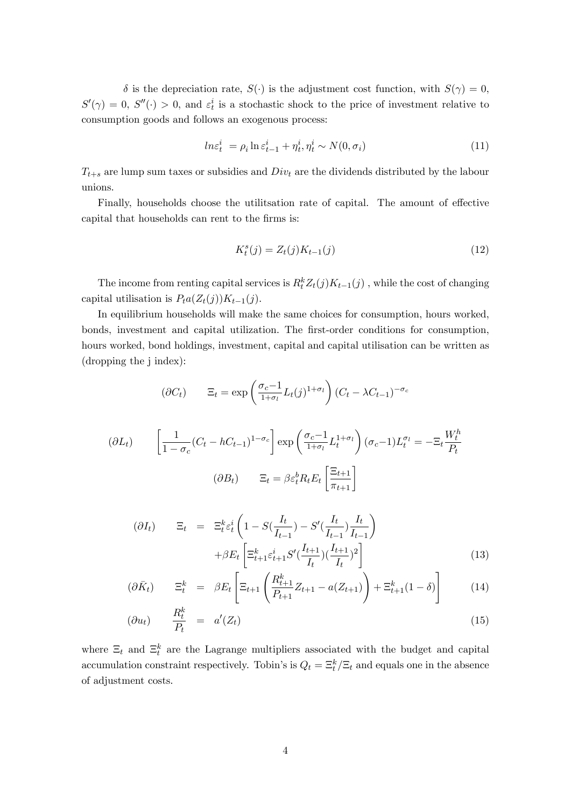$\delta$  is the depreciation rate,  $S(\cdot)$  is the adjustment cost function, with  $S(\gamma) = 0$ ,  $S'(\gamma) = 0$ ,  $S''(\cdot) > 0$ , and  $\varepsilon_t^i$  is a stochastic shock to the price of investment relative to consumption goods and follows an exogenous process:

$$
ln \varepsilon_t^i = \rho_i \ln \varepsilon_{t-1}^i + \eta_t^i, \eta_t^i \sim N(0, \sigma_i)
$$
\n(11)

 $T_{t+s}$  are lump sum taxes or subsidies and  $Div_t$  are the dividends distributed by the labour unions.

Finally, households choose the utilitsation rate of capital. The amount of effective capital that households can rent to the firms is:

$$
K_t^s(j) = Z_t(j)K_{t-1}(j)
$$
\n(12)

The income from renting capital services is  $R_t^k Z_t(j)K_{t-1}(j)$ , while the cost of changing capital utilisation is  $P_t a(Z_t(j))K_{t-1}(j)$ .

In equilibrium households will make the same choices for consumption, hours worked, bonds, investment and capital utilization. The first-order conditions for consumption, hours worked, bond holdings, investment, capital and capital utilisation can be written as (dropping the j index):

$$
(\partial C_t) \qquad \Xi_t = \exp\left(\frac{\sigma_c - 1}{1 + \sigma_l} L_t(j)^{1 + \sigma_l}\right) (C_t - \lambda C_{t-1})^{-\sigma_c}
$$

$$
\partial L_t) \qquad \left[\frac{1}{1 - \sigma_c} (C_t - h C_{t-1})^{1 - \sigma_c}\right] \exp\left(\frac{\sigma_c - 1}{1 + \sigma_l} L_t^{1 + \sigma_l}\right) (\sigma_c - 1) L_t^{\sigma_l} = -\Xi_t \frac{W_t^h}{P_t}
$$

$$
(\partial B_t) \qquad \Xi_t = \beta \varepsilon_t^h R_t E_t \left[\frac{\Xi_{t+1}}{\pi_{t+1}}\right]
$$

 $($ 

$$
(\partial I_t) \qquad \Xi_t \ = \ \Xi_t^k \varepsilon_t^i \left( 1 - S(\frac{I_t}{I_{t-1}}) - S'(\frac{I_t}{I_{t-1}}) \frac{I_t}{I_{t-1}} \right) + \beta E_t \left[ \Xi_{t+1}^k \varepsilon_{t+1}^i S'(\frac{I_{t+1}}{I_t}) (\frac{I_{t+1}}{I_t})^2 \right]
$$
(13)

$$
(\partial \bar{K}_t) \qquad \Xi_t^k \ = \ \beta E_t \left[ \Xi_{t+1} \left( \frac{R_{t+1}^k}{P_{t+1}} Z_{t+1} - a(Z_{t+1}) \right) + \Xi_{t+1}^k (1 - \delta) \right] \tag{14}
$$

$$
(\partial u_t) \qquad \frac{R_t^k}{P_t} \quad = \quad a'(Z_t) \tag{15}
$$

where  $\Xi_t$  and  $\Xi_t^k$  are the Lagrange multipliers associated with the budget and capital accumulation constraint respectively. Tobin's is  $Q_t = \Xi_t^k / \Xi_t$  and equals one in the absence of adjustment costs.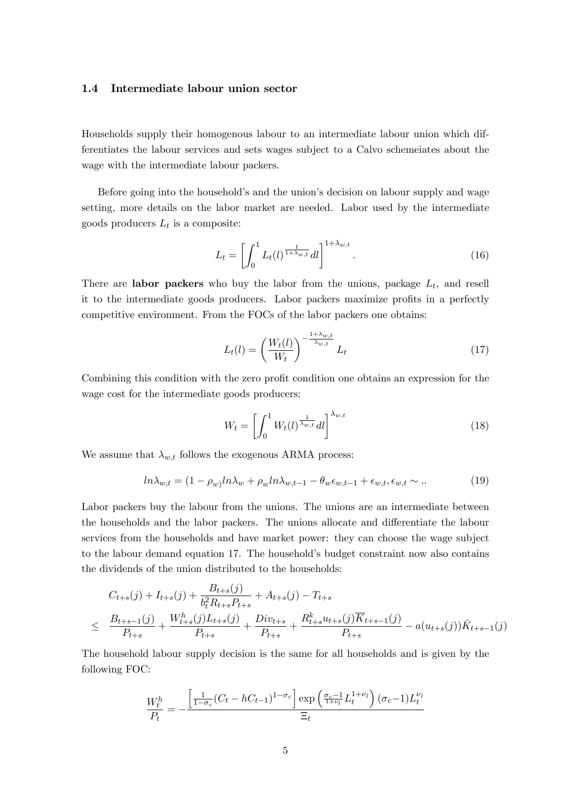#### 1.4 Intermediate labour union sector

Households supply their homogenous labour to an intermediate labour union which differentiates the labour services and sets wages subject to a Calvo schemeiates about the wage with the intermediate labour packers.

Before going into the household's and the union's decision on labour supply and wage setting, more details on the labor market are needed. Labor used by the intermediate goods producers  $L_t$  is a composite:

$$
L_t = \left[ \int_0^1 L_t(l)^{\frac{1}{1+\lambda_{w,t}}} dl \right]^{1+\lambda_{w,t}}.
$$
\n(16)

There are **labor packers** who buy the labor from the unions, package  $L_t$ , and resell it to the intermediate goods producers. Labor packers maximize profits in a perfectly competitive environment. From the FOCs of the labor packers one obtains:

$$
L_t(l) = \left(\frac{W_t(l)}{W_t}\right)^{-\frac{1+\lambda_{w,t}}{\lambda_{w,t}}} L_t
$$
\n(17)

Combining this condition with the zero profit condition one obtains an expression for the wage cost for the intermediate goods producers:

$$
W_t = \left[ \int_0^1 W_t(l)^{\frac{1}{\lambda_{w,t}}} dl \right]^{\lambda_{w,t}}
$$
\n(18)

We assume that  $\lambda_{w,t}$  follows the exogenous ARMA process:

$$
ln\lambda_{w,t} = (1 - \rho_w)ln\lambda_w + \rho_w ln\lambda_{w,t-1} - \theta_w \epsilon_{w,t-1} + \epsilon_{w,t}, \epsilon_{w,t} \sim \dots \tag{19}
$$

Labor packers buy the labour from the unions. The unions are an intermediate between the households and the labor packers. The unions allocate and differentiate the labour services from the households and have market power: they can choose the wage subject to the labour demand equation 17. The household's budget constraint now also contains the dividends of the union distributed to the households:

$$
C_{t+s}(j) + I_{t+s}(j) + \frac{B_{t+s}(j)}{b_t^2 R_{t+s} P_{t+s}} + A_{t+s}(j) - T_{t+s}
$$
  
\n
$$
\leq \frac{B_{t+s-1}(j)}{P_{t+s}} + \frac{W_{t+s}^h(j)L_{t+s}(j)}{P_{t+s}} + \frac{Div_{t+s}}{P_{t+s}} + \frac{R_{t+s}^k u_{t+s}(j)\overline{K}_{t+s-1}(j)}{P_{t+s}} - a(u_{t+s}(j))\overline{K}_{t+s-1}(j)
$$

The household labour supply decision is the same for all households and is given by the following FOC:

$$
\frac{W_t^h}{P_t} = -\frac{\left[\frac{1}{1-\sigma_c}(C_t - hC_{t-1})^{1-\sigma_c}\right] \exp\left(\frac{\sigma_c - 1}{1+\nu_l}L_t^{1+\nu_l}\right)(\sigma_c - 1)L_t^{\nu_l}}{\Xi_t}
$$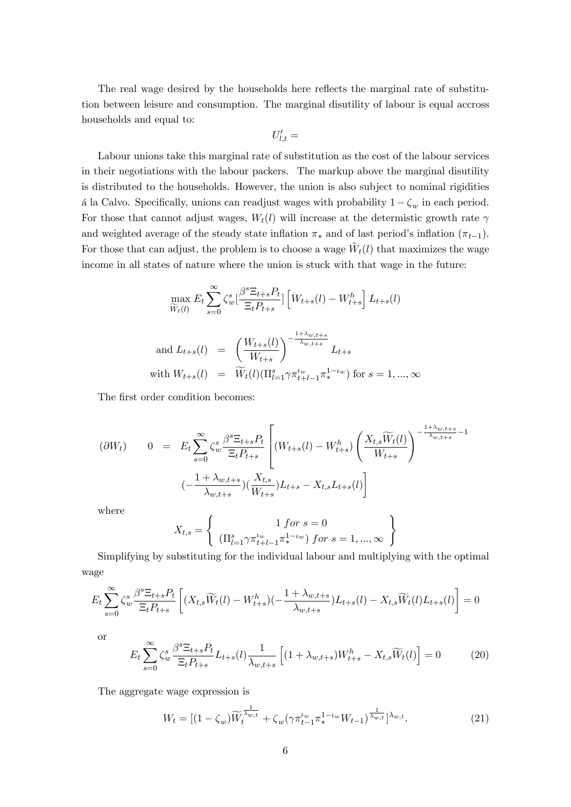The real wage desired by the households here reflects the marginal rate of substitution between leisure and consumption. The marginal disutility of labour is equal accross households and equal to:

$$
U'_{l,t} =
$$

Labour unions take this marginal rate of substitution as the cost of the labour services in their negotiations with the labour packers. The markup above the marginal disutility is distributed to the households. However, the union is also subject to nominal rigidities á la Calvo. Specifically, unions can readjust wages with probability  $1 - \zeta_w$  in each period. For those that cannot adjust wages,  $W_t(l)$  will increase at the determistic growth rate  $\gamma$ and weighted average of the steady state inflation  $\pi_*$  and of last period's inflation  $(\pi_{t-1})$ . For those that can adjust, the problem is to choose a wage  $\tilde{W}_t(l)$  that maximizes the wage income in all states of nature where the union is stuck with that wage in the future:

$$
\max_{\widetilde{W}_t(l)} E_t \sum_{s=0}^{\infty} \zeta_s^s \left[ \frac{\beta^s \Xi_{t+s} P_t}{\Xi_t P_{t+s}} \right] \left[ W_{t+s}(l) - W_{t+s}^h \right] L_{t+s}(l)
$$
\n
$$
\text{and } L_{t+s}(l) = \left( \frac{W_{t+s}(l)}{W_{t+s}} \right)^{-\frac{1+\lambda_{w,t+s}}{\lambda_{w,t+s}}} L_{t+s}
$$
\n
$$
\text{with } W_{t+s}(l) = \widetilde{W}_t(l) \left( \prod_{l=1}^s \gamma \pi_{t+l-1}^{l_w} \pi_*^{1-\iota_w} \right) \text{ for } s = 1, ..., \infty
$$

The first order condition becomes:

$$
\begin{array}{rcl}\n(\partial W_t) & 0 & = & E_t \sum_{s=0}^{\infty} \zeta_w^s \frac{\beta^s \Xi_{t+s} P_t}{\Xi_t P_{t+s}} \left[ (W_{t+s}(l) - W_{t+s}^h) \left( \frac{X_{t,s} \widetilde{W}_t(l)}{W_{t+s}} \right)^{-\frac{1+\lambda_{w,t+s}}{\lambda_{w,t+s}} - 1} \right] \\
& \left. (-\frac{1+\lambda_{w,t+s}}{\lambda_{w,t+s}}) \left( \frac{X_{t,s}}{W_{t+s}} \right) L_{t+s} - X_{t,s} L_{t+s}(l) \right]\n\end{array}
$$

where

$$
X_{t,s} = \left\{ \begin{array}{c} 1 \text{ for } s = 0 \\ (\Pi_{l=1}^s \gamma \pi_{t+l-1}^{tw} \pi_*^{1-\iota_w}) \text{ for } s = 1, ..., \infty \end{array} \right\}
$$

Simplifying by substituting for the individual labour and multiplying with the optimal wage

$$
E_t \sum_{s=0}^{\infty} \zeta_w^s \frac{\beta^s \Xi_{t+s} P_t}{\Xi_t P_{t+s}} \left[ (X_{t,s} \widetilde{W}_t(l) - W_{t+s}^h)(-\frac{1+\lambda_{w,t+s}}{\lambda_{w,t+s}}) L_{t+s}(l) - X_{t,s} \widetilde{W}_t(l) L_{t+s}(l) \right] = 0
$$

or

$$
E_t \sum_{s=0}^{\infty} \zeta_w^s \frac{\beta^s \Xi_{t+s} P_t}{\Xi_t P_{t+s}} L_{t+s}(l) \frac{1}{\lambda_{w,t+s}} \left[ (1 + \lambda_{w,t+s}) W_{t+s}^h - X_{t,s} \widetilde{W}_t(l) \right] = 0 \tag{20}
$$

The aggregate wage expression is

$$
W_t = [(1 - \zeta_w)\widetilde{W}_t^{\frac{1}{\lambda_{w,t}}} + \zeta_w(\gamma \pi_{t-1}^{t_w} \pi_*^{1-t_w} W_{t-1})^{\frac{1}{\lambda_{w,t}}}]^{\lambda_{w,t}}.
$$
\n(21)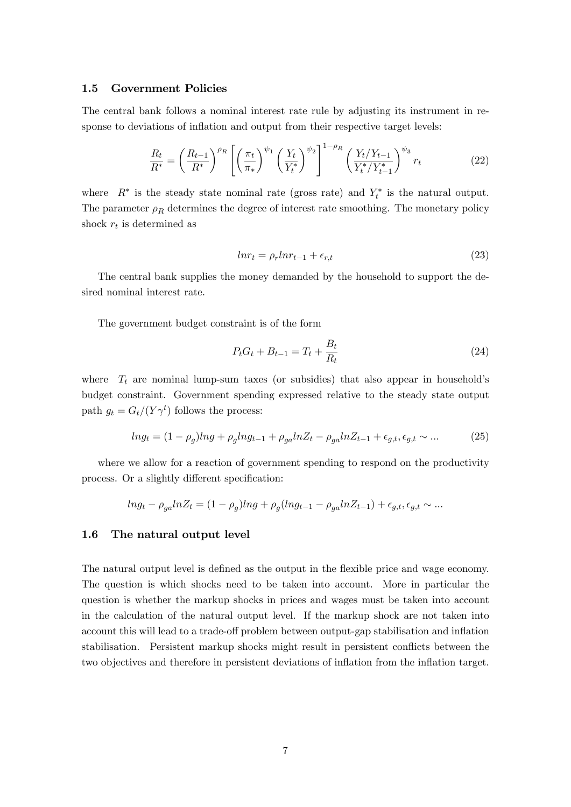#### 1.5 Government Policies

The central bank follows a nominal interest rate rule by adjusting its instrument in response to deviations of inflation and output from their respective target levels:

$$
\frac{R_t}{R^*} = \left(\frac{R_{t-1}}{R^*}\right)^{\rho_R} \left[ \left(\frac{\pi_t}{\pi_*}\right)^{\psi_1} \left(\frac{Y_t}{Y_t^*}\right)^{\psi_2} \right]^{1-\rho_R} \left(\frac{Y_t/Y_{t-1}}{Y_t^*/Y_{t-1}^*}\right)^{\psi_3} r_t \tag{22}
$$

where  $R^*$  is the steady state nominal rate (gross rate) and  $Y_t^*$  is the natural output. The parameter  $\rho_R$  determines the degree of interest rate smoothing. The monetary policy shock  $r_t$  is determined as

$$
lnr_t = \rho_r lnr_{t-1} + \epsilon_{r,t} \tag{23}
$$

The central bank supplies the money demanded by the household to support the desired nominal interest rate.

The government budget constraint is of the form

$$
P_t G_t + B_{t-1} = T_t + \frac{B_t}{R_t}
$$
\n(24)

where  $T_t$  are nominal lump-sum taxes (or subsidies) that also appear in household's budget constraint. Government spending expressed relative to the steady state output path  $g_t = G_t/(Y\gamma^t)$  follows the process:

$$
ln g_t = (1 - \rho_g)ln g + \rho_g ln g_{t-1} + \rho_{ga} ln Z_t - \rho_{ga} ln Z_{t-1} + \epsilon_{g,t}, \epsilon_{g,t} \sim \dots \tag{25}
$$

where we allow for a reaction of government spending to respond on the productivity process. Or a slightly different specification:

$$
ln g_t - \rho_{ga} ln Z_t = (1 - \rho_g) ln g + \rho_g (ln g_{t-1} - \rho_{ga} ln Z_{t-1}) + \epsilon_{g,t}, \epsilon_{g,t} \sim \dots
$$

#### 1.6 The natural output level

The natural output level is defined as the output in the flexible price and wage economy. The question is which shocks need to be taken into account. More in particular the question is whether the markup shocks in prices and wages must be taken into account in the calculation of the natural output level. If the markup shock are not taken into account this will lead to a trade-off problem between output-gap stabilisation and inflation stabilisation. Persistent markup shocks might result in persistent conflicts between the two objectives and therefore in persistent deviations of inflation from the inflation target.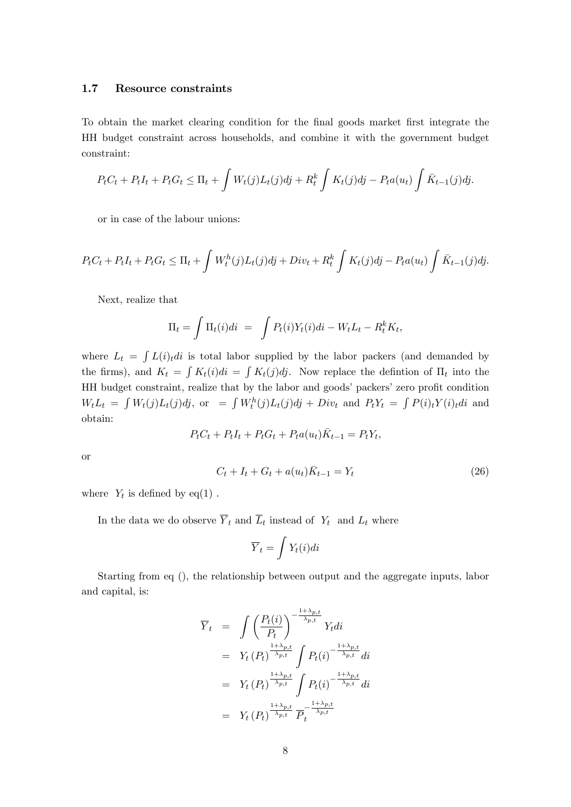#### 1.7 Resource constraints

To obtain the market clearing condition for the Önal goods market Örst integrate the HH budget constraint across households, and combine it with the government budget constraint:

$$
P_t C_t + P_t I_t + P_t G_t \leq \Pi_t + \int W_t(j) L_t(j) d\dot{j} + R_t^k \int K_t(j) d\dot{j} - P_t a(u_t) \int \bar{K}_{t-1}(j) d\dot{j}.
$$

or in case of the labour unions:

$$
P_t C_t + P_t I_t + P_t G_t \le \Pi_t + \int W_t^h(j) L_t(j) d\mathbf{j} + Div_t + R_t^k \int K_t(j) d\mathbf{j} - P_t a(u_t) \int \bar{K}_{t-1}(j) d\mathbf{j}.
$$

Next, realize that

$$
\Pi_t = \int \Pi_t(i)di = \int P_t(i)Y_t(i)di - W_t L_t - R_t^k K_t,
$$

where  $L_t = \int L(i)_t di$  is total labor supplied by the labor packers (and demanded by the firms), and  $K_t = \int K_t(i)di = \int K_t(j)dj$ . Now replace the defintion of  $\Pi_t$  into the HH budget constraint, realize that by the labor and goods' packers' zero profit condition  $W_t L_t = \int W_t(j)L_t(j)dj$ , or  $= \int W_t^h(j)L_t(j)dj + Div_t$  and  $P_tY_t = \int P(i)_tY(i)_tdi$  and obtain:

$$
P_t C_t + P_t I_t + P_t G_t + P_t a(u_t) \overline{K}_{t-1} = P_t Y_t,
$$

or

$$
C_t + I_t + G_t + a(u_t)\bar{K}_{t-1} = Y_t
$$
\n(26)

where  $Y_t$  is defined by eq(1).

In the data we do observe  $Y_t$  and  $L_t$  instead of  $Y_t$  and  $L_t$  where

$$
\overline{Y}_t = \int Y_t(i)di
$$

Starting from eq (), the relationship between output and the aggregate inputs, labor and capital, is:

$$
\overline{Y}_t = \int \left(\frac{P_t(i)}{P_t}\right)^{-\frac{1+\lambda_{p,t}}{\lambda_{p,t}}} Y_t di
$$
\n
$$
= Y_t(P_t)^{\frac{1+\lambda_{p,t}}{\lambda_{p,t}}} \int P_t(i)^{-\frac{1+\lambda_{p,t}}{\lambda_{p,t}}} di
$$
\n
$$
= Y_t(P_t)^{\frac{1+\lambda_{p,t}}{\lambda_{p,t}}} \int P_t(i)^{-\frac{1+\lambda_{p,t}}{\lambda_{p,t}}} di
$$
\n
$$
= Y_t(P_t)^{\frac{1+\lambda_{p,t}}{\lambda_{p,t}}} \overline{P}_t^{-\frac{1+\lambda_{p,t}}{\lambda_{p,t}}}
$$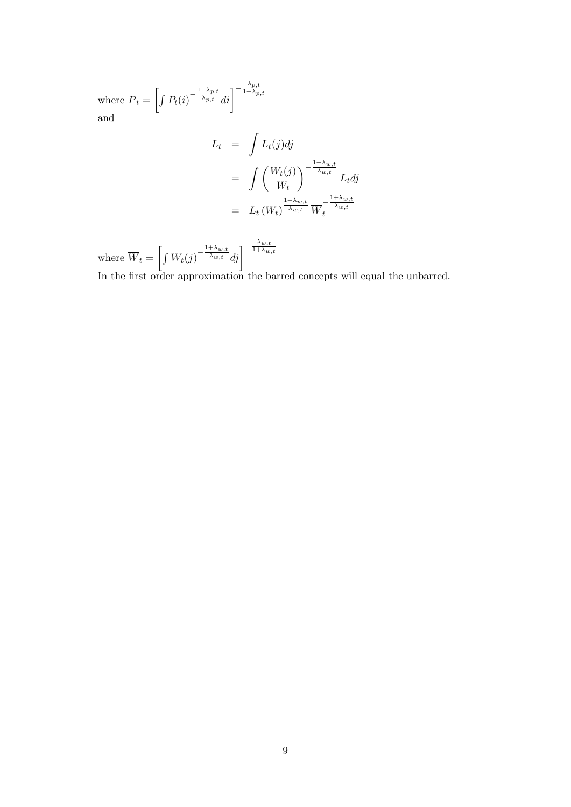where  $P_t =$  $\left[\int P_t(i)^{-\frac{1+\lambda_{p,t}}{\lambda_{p,t}}}di\right]^{-\frac{\lambda_{p,t}}{1+\lambda_p}}$  $1+\lambda_{p,t}$ and

$$
\overline{L}_t = \int L_t(j)dj
$$
\n
$$
= \int \left(\frac{W_t(j)}{W_t}\right)^{-\frac{1+\lambda_{w,t}}{\lambda_{w,t}}} L_t dj
$$
\n
$$
= L_t (W_t)^{\frac{1+\lambda_{w,t}}{\lambda_{w,t}}} \overline{W}_t^{-\frac{1+\lambda_{w,t}}{\lambda_{w,t}}}
$$

where  $W_t =$  $\left[\int W_t(j)^{-\frac{1+\lambda_{w,t}}{\lambda_{w,t}}}dj\right]^{-\frac{\lambda_{w,t}}{1+\lambda_w}}$  $_{1+\lambda_{w,t}}$ 

In the first order approximation the barred concepts will equal the unbarred.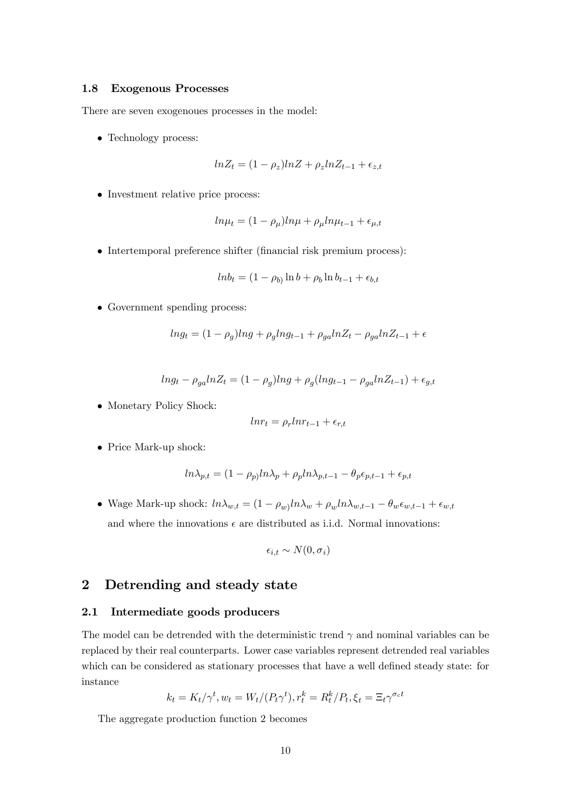#### 1.8 Exogenous Processes

There are seven exogenoues processes in the model:

Technology process:

$$
ln Z_t = (1 - \rho_z)ln Z + \rho_z ln Z_{t-1} + \epsilon_{z,t}
$$

• Investment relative price process:

$$
ln\mu_t = (1 - \rho_\mu)ln\mu + \rho_\mu ln\mu_{t-1} + \epsilon_{\mu,t}
$$

 $\bullet$  Intertemporal preference shifter (financial risk premium process):

$$
ln b_t = (1 - \rho_b) \ln b + \rho_b \ln b_{t-1} + \epsilon_{b,t}
$$

Government spending process:

$$
ln g_t = (1 - \rho_g)ln g + \rho_g ln g_{t-1} + \rho_{ga} ln Z_t - \rho_{ga} ln Z_{t-1} + \epsilon
$$

$$
ln g_t - \rho_{ga} ln Z_t = (1 - \rho_g) ln g + \rho_g (ln g_{t-1} - \rho_{ga} ln Z_{t-1}) + \epsilon_{g,t}
$$

• Monetary Policy Shock:

$$
lnr_t = \rho_r lnr_{t-1} + \epsilon_{r,t}
$$

Price Mark-up shock:

$$
ln \lambda_{p,t} = (1 - \rho_p)ln \lambda_p + \rho_p ln \lambda_{p,t-1} - \theta_p \epsilon_{p,t-1} + \epsilon_{p,t}
$$

• Wage Mark-up shock:  $ln \lambda_{w,t} = (1 - \rho_w) ln \lambda_w + \rho_w ln \lambda_{w,t-1} - \theta_w \epsilon_{w,t-1} + \epsilon_{w,t}$ and where the innovations  $\epsilon$  are distributed as i.i.d. Normal innovations:

$$
\epsilon_{i,t} \sim N(0, \sigma_i)
$$

### 2 Detrending and steady state

#### 2.1 Intermediate goods producers

The model can be deterministic trend  $\gamma$  and nominal variables can be replaced by their real counterparts. Lower case variables represent detrended real variables which can be considered as stationary processes that have a well defined steady state: for instance k

$$
k_t = K_t / \gamma^t, w_t = W_t / (P_t \gamma^t), r_t^k = R_t^k / P_t, \xi_t = \Xi_t \gamma^{\sigma_c t}
$$

The aggregate production function 2 becomes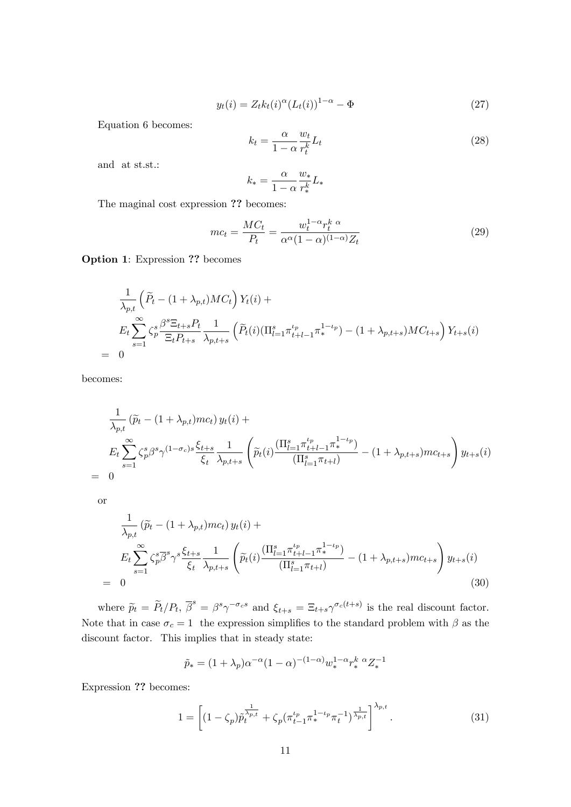$$
y_t(i) = Z_t k_t(i)^{\alpha} (L_t(i))^{1-\alpha} - \Phi
$$
\n(27)

Equation 6 becomes:

$$
k_t = \frac{\alpha}{1 - \alpha} \frac{w_t}{r_t^k} L_t \tag{28}
$$

and at st.st.:

$$
k_* = \frac{\alpha}{1-\alpha} \frac{w_*}{r_*^k} L_*
$$

The maginal cost expression ?? becomes:

$$
mc_t = \frac{MC_t}{P_t} = \frac{w_t^{1-\alpha}r_t^{k\alpha}}{\alpha^{\alpha}(1-\alpha)^{(1-\alpha)}Z_t}
$$
\n(29)

Option 1: Expression ?? becomes

$$
\frac{1}{\lambda_{p,t}} \left( \widetilde{P}_t - (1 + \lambda_{p,t})MC_t \right) Y_t(i) +
$$
\n
$$
E_t \sum_{s=1}^{\infty} \zeta_p^s \frac{\beta^s \Xi_{t+s} P_t}{\Xi_t P_{t+s}} \frac{1}{\lambda_{p,t+s}} \left( \widetilde{P}_t(i) (\Pi_{l=1}^s \pi_{t+l-1}^{t_p} \pi_*^{1-t_p}) - (1 + \lambda_{p,t+s})MC_{t+s} \right) Y_{t+s}(i)
$$
\n
$$
= 0
$$

becomes:

$$
\frac{1}{\lambda_{p,t}} (\widetilde{p}_t - (1 + \lambda_{p,t})mc_t) y_t(i) +
$$
\n
$$
E_t \sum_{s=1}^{\infty} \zeta_p^s \beta^s \gamma^{(1-\sigma_c)s} \frac{\xi_{t+s}}{\xi_t} \frac{1}{\lambda_{p,t+s}} \left( \widetilde{p}_t(i) \frac{(\Pi_{l=1}^s \pi_{t+l-1}^{t_p} \pi_*^{1-\iota_p})}{(\Pi_{l=1}^s \pi_{t+l})} - (1 + \lambda_{p,t+s})mc_{t+s} \right) y_{t+s}(i)
$$
\n
$$
= 0
$$

or

$$
\frac{1}{\lambda_{p,t}} \left( \widetilde{p}_t - (1 + \lambda_{p,t})mc_t \right) y_t(i) +
$$
\n
$$
E_t \sum_{s=1}^{\infty} \zeta_p^s \overline{\beta}^s \gamma^s \frac{\xi_{t+s}}{\xi_t} \frac{1}{\lambda_{p,t+s}} \left( \widetilde{p}_t(i) \frac{\left( \Pi_{l=1}^s \pi_{t+l-1}^{t_p} \pi_*^{1-t_p} \right)}{\left( \Pi_{l=1}^s \pi_{t+l} \right)} - (1 + \lambda_{p,t+s})mc_{t+s} \right) y_{t+s}(i)
$$
\n
$$
= 0
$$
\n(30)

where  $\tilde{p}_t = \tilde{P}_t/P_t$ ,  $\overline{\beta}^s = \beta^s \gamma^{-\sigma_c s}$  and  $\xi_{t+s} = \Xi_{t+s} \gamma^{\sigma_c(t+s)}$  is the real discount factor. Note that in case  $\sigma_c = 1$  the expression simplifies to the standard problem with  $\beta$  as the discount factor. This implies that in steady state:

$$
\tilde{p}_{*} = (1 + \lambda_{p})\alpha^{-\alpha}(1 - \alpha)^{-(1 - \alpha)}w_{*}^{1 - \alpha}r_{*}^{k} \alpha Z_{*}^{-1}
$$

Expression ?? becomes:

$$
1 = \left[ (1 - \zeta_p) \tilde{p}_t^{\frac{1}{\lambda_p, t}} + \zeta_p (\pi_{t-1}^{t_p} \pi_*^{1 - t_p} \pi_t^{-1})^{\frac{1}{\lambda_p, t}} \right]^{\lambda_{p, t}}.
$$
 (31)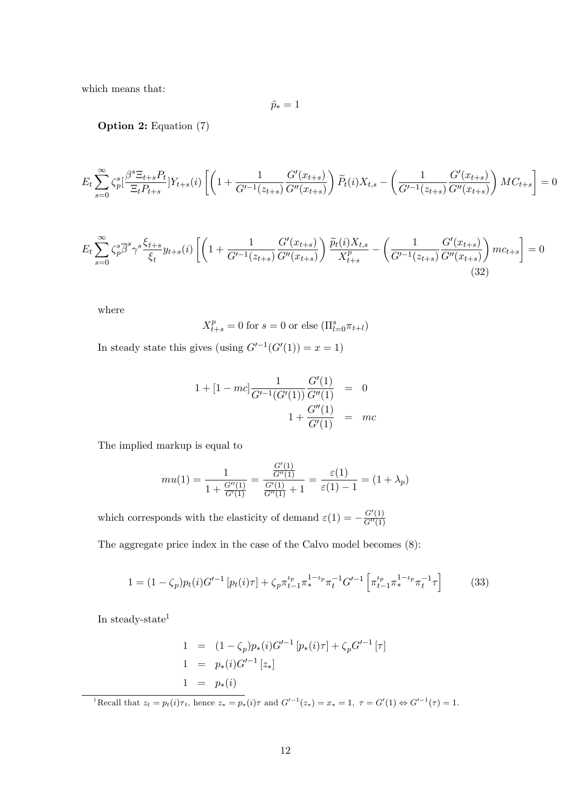which means that:

$$
\tilde{p}_*=1
$$

Option 2: Equation (7)

$$
E_t \sum_{s=0}^{\infty} \zeta_p^s \left[ \frac{\beta^s \Xi_{t+s} P_t}{\Xi_t P_{t+s}} \right] Y_{t+s}(i) \left[ \left( 1 + \frac{1}{G'^{-1}(z_{t+s})} \frac{G'(x_{t+s})}{G''(x_{t+s})} \right) \widetilde{P}_t(i) X_{t,s} - \left( \frac{1}{G'^{-1}(z_{t+s})} \frac{G'(x_{t+s})}{G''(x_{t+s})} \right) M C_{t+s} \right] = 0
$$

$$
E_t \sum_{s=0}^{\infty} \zeta_p^s \overline{\beta}^s \gamma^s \frac{\xi_{t+s}}{\xi_t} y_{t+s}(i) \left[ \left( 1 + \frac{1}{G'^{-1}(z_{t+s})} \frac{G'(x_{t+s})}{G''(x_{t+s})} \right) \frac{\widetilde{p}_t(i) X_{t,s}}{X_{t+s}^p} - \left( \frac{1}{G'^{-1}(z_{t+s})} \frac{G'(x_{t+s})}{G''(x_{t+s})} \right) m c_{t+s} \right] = 0
$$
\n(32)

where

$$
X_{t+s}^p = 0
$$
 for  $s = 0$  or else  $(\prod_{l=0}^s \pi_{t+l})$ 

In steady state this gives (using  $G'^{-1}(G'(1)) = x = 1$ )

$$
1 + [1 - mc] \frac{1}{G'^{-1}(G'(1))} \frac{G'(1)}{G''(1)} = 0
$$
  

$$
1 + \frac{G''(1)}{G'(1)} = mc
$$

The implied markup is equal to

$$
mu(1) = \frac{1}{1 + \frac{G''(1)}{G'(1)}} = \frac{\frac{G'(1)}{G''(1)}}{\frac{G'(1)}{G''(1)} + 1} = \frac{\varepsilon(1)}{\varepsilon(1) - 1} = (1 + \lambda_p)
$$

which corresponds with the elasticity of demand  $\varepsilon(1) = -\frac{G'(1)}{G''(1)}$  $G''(1)$ 

The aggregate price index in the case of the Calvo model becomes (8):

$$
1 = (1 - \zeta_p) p_t(i) G'^{-1} \left[ p_t(i) \tau \right] + \zeta_p \pi_{t-1}^{\iota_p} \pi_*^{1 - \iota_p} \pi_t^{-1} G'^{-1} \left[ \pi_{t-1}^{\iota_p} \pi_*^{1 - \iota_p} \pi_t^{-1} \tau \right] \tag{33}
$$

In steady-state<sup>1</sup>

1 = 
$$
(1 - \zeta_p)p_*(i)G'^{-1}[p_*(i)\tau] + \zeta_p G'^{-1}[\tau]
$$
  
1 =  $p_*(i)G'^{-1}[z_*]$   
1 =  $p_*(i)$ 

 ${}^{1}$ Recall that  $z_t = p_t(i)\tau_t$ , hence  $z_* = p_*(i)\tau$  and  $G'^{-1}(z_*) = x_* = 1, \ \tau = G'(1) \Leftrightarrow G'^{-1}(\tau) = 1.$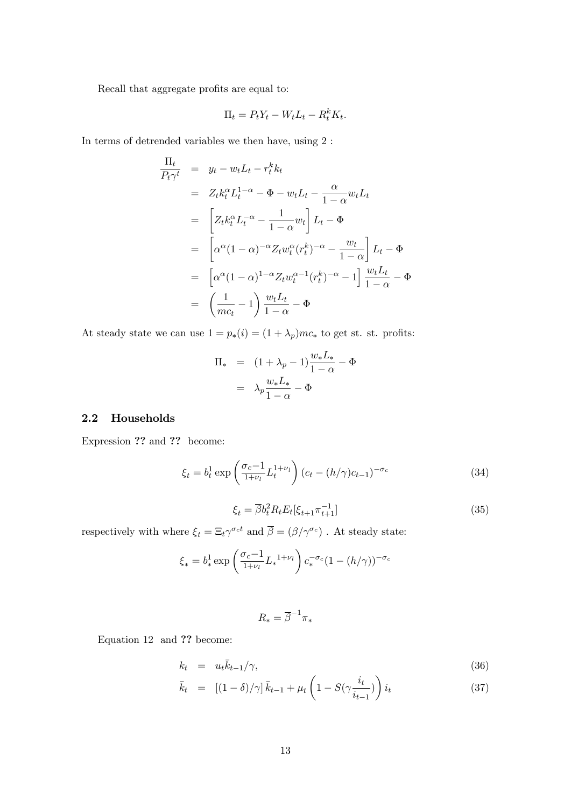Recall that aggregate profits are equal to:

$$
\Pi_t = P_t Y_t - W_t L_t - R_t^k K_t.
$$

In terms of detrended variables we then have, using 2 :

$$
\frac{\Pi_t}{P_t \gamma^t} = y_t - w_t L_t - r_t^k k_t
$$
\n
$$
= Z_t k_t^{\alpha} L_t^{1-\alpha} - \Phi - w_t L_t - \frac{\alpha}{1-\alpha} w_t L_t
$$
\n
$$
= \left[ Z_t k_t^{\alpha} L_t^{-\alpha} - \frac{1}{1-\alpha} w_t \right] L_t - \Phi
$$
\n
$$
= \left[ \alpha^{\alpha} (1-\alpha)^{-\alpha} Z_t w_t^{\alpha} (r_t^k)^{-\alpha} - \frac{w_t}{1-\alpha} \right] L_t - \Phi
$$
\n
$$
= \left[ \alpha^{\alpha} (1-\alpha)^{1-\alpha} Z_t w_t^{\alpha-1} (r_t^k)^{-\alpha} - 1 \right] \frac{w_t L_t}{1-\alpha} - \Phi
$$
\n
$$
= \left( \frac{1}{mc_t} - 1 \right) \frac{w_t L_t}{1-\alpha} - \Phi
$$

At steady state we can use  $1 = p_*(i) = (1 + \lambda_p) m c_*$  to get st. st. profits:

$$
\Pi_* = (1 + \lambda_p - 1) \frac{w_* L_*}{1 - \alpha} - \Phi
$$

$$
= \lambda_p \frac{w_* L_*}{1 - \alpha} - \Phi
$$

#### 2.2 Households

Expression ?? and ?? become:

$$
\xi_t = b_t^1 \exp\left(\frac{\sigma_c - 1}{1 + \nu_l} L_t^{1 + \nu_l}\right) (c_t - (h/\gamma)c_{t-1})^{-\sigma_c}
$$
\n(34)

$$
\xi_t = \overline{\beta} b_t^2 R_t E_t [\xi_{t+1} \pi_{t+1}^{-1}] \tag{35}
$$

respectively with where  $\xi_t = \Xi_t \gamma^{\sigma_c t}$  and  $\overline{\beta} = (\beta/\gamma^{\sigma_c})$ . At steady state:

$$
\xi_* = b_*^1 \exp\left(\frac{\sigma_c - 1}{1 + \nu_l} L_*^{1 + \nu_l}\right) c_*^{-\sigma_c} (1 - (h/\gamma))^{-\sigma_c}
$$

$$
R_* = \overline{\beta}^{-1} \pi_*
$$

Equation 12 and ?? become:

$$
k_t = u_t \bar{k}_{t-1}/\gamma,\tag{36}
$$

$$
\bar{k}_t = \left[ (1 - \delta) / \gamma \right] \bar{k}_{t-1} + \mu_t \left( 1 - S(\gamma \frac{i_t}{i_{t-1}}) \right) i_t \tag{37}
$$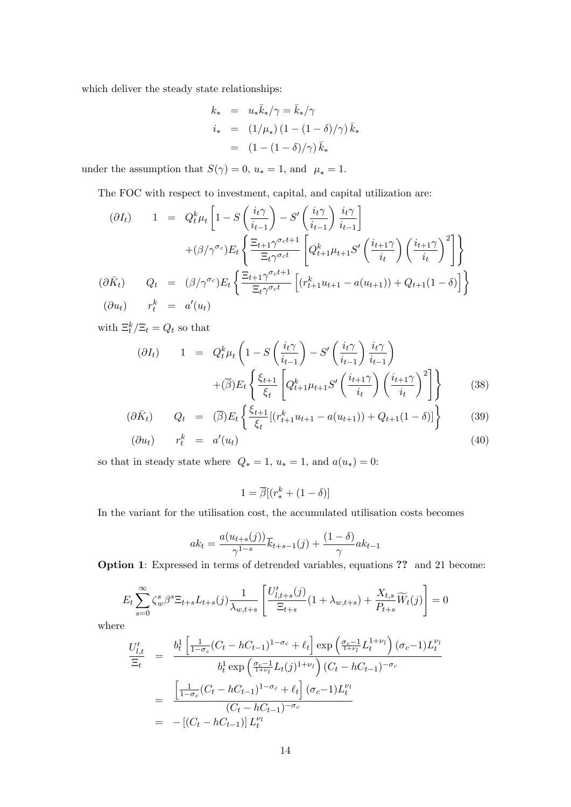which deliver the steady state relationships:

$$
k_* = u_* \bar{k}_*/\gamma = \bar{k}_*/\gamma
$$
  
\n
$$
i_* = (1/\mu_*)(1 - (1 - \delta)/\gamma) \bar{k}_*
$$
  
\n
$$
= (1 - (1 - \delta)/\gamma) \bar{k}_*
$$

under the assumption that  $S(\gamma) = 0$ ,  $u_* = 1$ , and  $\mu_* = 1$ .

The FOC with respect to investment, capital, and capital utilization are:

$$
(\partial I_t) \qquad 1 = Q_t^k \mu_t \left[ 1 - S \left( \frac{i_t \gamma}{i_{t-1}} \right) - S' \left( \frac{i_t \gamma}{i_{t-1}} \right) \frac{i_t \gamma}{i_{t-1}} \right]
$$

$$
+ (\beta/\gamma^{\sigma_c}) E_t \left\{ \frac{\Xi_{t+1} \gamma^{\sigma_c t+1}}{\Xi_t \gamma^{\sigma_c t}} \left[ Q_{t+1}^k \mu_{t+1} S' \left( \frac{i_{t+1} \gamma}{i_t} \right) \left( \frac{i_{t+1} \gamma}{i_t} \right)^2 \right] \right\}
$$

$$
Q_t = (\beta/\gamma^{\sigma_c}) E_t \left\{ \frac{\Xi_{t+1} \gamma^{\sigma_c t+1}}{\Xi_t \gamma^{\sigma_c t}} \left[ (r_{t+1}^k u_{t+1} - a(u_{t+1})) + Q_{t+1} (1 - \delta) \right] \right\}
$$

$$
r_t^k = a'(u_t)
$$

with  $\Xi_t^k/\Xi_t = Q_t$  so that

$$
(\partial I_t) \qquad 1 \quad = \quad Q_t^k \mu_t \left( 1 - S \left( \frac{i_t \gamma}{i_{t-1}} \right) - S' \left( \frac{i_t \gamma}{i_{t-1}} \right) \frac{i_t \gamma}{i_{t-1}} \right) + (\overline{\beta}) E_t \left\{ \frac{\xi_{t+1}}{\xi_t} \left[ Q_{t+1}^k \mu_{t+1} S' \left( \frac{i_{t+1} \gamma}{i_t} \right) \left( \frac{i_{t+1} \gamma}{i_t} \right)^2 \right] \right\} \tag{38}
$$

$$
(\partial \bar{K}_t) \qquad Q_t = (\bar{\beta}) E_t \left\{ \frac{\xi_{t+1}}{\xi_t} [(r_{t+1}^k u_{t+1} - a(u_{t+1})) + Q_{t+1}(1-\delta)] \right\} \tag{39}
$$

$$
(\partial u_t) \qquad r_t^k \quad = \quad a'(u_t) \tag{40}
$$

so that in steady state where  $Q_* = 1$ ,  $u_* = 1$ , and  $a(u_*) = 0$ :

$$
1 = \overline{\beta}[(r_*^k + (1 - \delta)]
$$

In the variant for the utilisation cost, the accumulated utilisation costs becomes

$$
ak_t = \frac{a(u_{t+s}(j))}{\gamma^{1-s}}\overline{k}_{t+s-1}(j) + \frac{(1-\delta)}{\gamma}ak_{t-1}
$$

Option 1: Expressed in terms of detrended variables, equations ?? and 21 become:

$$
E_t \sum_{s=0}^{\infty} \zeta_w^s \beta^s \Xi_{t+s} L_{t+s}(j) \frac{1}{\lambda_{w,t+s}} \left[ \frac{U'_{l,t+s}(j)}{\Xi_{t+s}} (1 + \lambda_{w,t+s}) + \frac{X_{t,s}}{P_{t+s}} \widetilde{W}_t(j) \right] = 0
$$

where

$$
\frac{U'_{l,t}}{\Xi_t} = \frac{b_t^1 \left[ \frac{1}{1-\sigma_c} (C_t - hC_{t-1})^{1-\sigma_c} + \ell_t \right] \exp\left(\frac{\sigma_c - 1}{1+\nu_l} L_t^{1+\nu_l}\right) (\sigma_c - 1) L_t^{\nu_l}}{b_t^1 \exp\left(\frac{\sigma_c - 1}{1+\nu_l} L_t(j)^{1+\nu_l}\right) (C_t - hC_{t-1})^{-\sigma_c}}
$$
\n
$$
= \frac{\left[ \frac{1}{1-\sigma_c} (C_t - hC_{t-1})^{1-\sigma_c} + \ell_t \right] (\sigma_c - 1) L_t^{\nu_l}}{(C_t - hC_{t-1})^{-\sigma_c}}
$$
\n
$$
= -\left[ (C_t - hC_{t-1}) \right] L_t^{\nu_l}
$$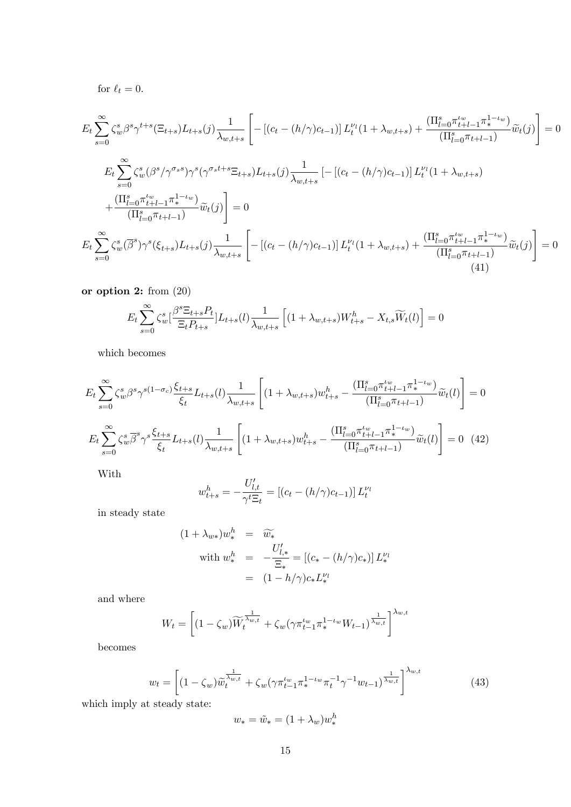for 
$$
\ell_t = 0
$$
.

$$
E_{t} \sum_{s=0}^{\infty} \zeta_{w}^{s} \beta^{s} \gamma^{t+s} (\Xi_{t+s}) L_{t+s}(j) \frac{1}{\lambda_{w,t+s}} \left[ - \left[ (c_{t} - (h/\gamma)c_{t-1}) \right] L_{t}^{\nu_{l}}(1 + \lambda_{w,t+s}) + \frac{(\Pi_{l=0}^{s} \pi_{t+1-1}^{t_{w}} \pi_{t-l-1}^{1-t_{w}})}{(\Pi_{l=0}^{s} \pi_{t+l-1})} \tilde{w}_{t}(j) \right] = 0
$$
  
\n
$$
E_{t} \sum_{s=0}^{\infty} \zeta_{w}^{s} (\beta^{s} / \gamma^{\sigma_{s}s}) \gamma^{s} (\gamma^{\sigma_{s}t+s} \Xi_{t+s}) L_{t+s}(j) \frac{1}{\lambda_{w,t+s}} \left[ - \left[ (c_{t} - (h/\gamma)c_{t-1}) \right] L_{t}^{\nu_{l}}(1 + \lambda_{w,t+s}) + \frac{(\Pi_{l=0}^{s} \pi_{t+l-1}^{t_{w}} \pi_{t-l-1}^{1-t_{w}})}{(\Pi_{l=0}^{s} \pi_{t+l-1}^{t_{w}} \pi_{t-l-1})} \tilde{w}_{t}(j) \right] = 0
$$
  
\n
$$
E_{t} \sum_{s=0}^{\infty} \zeta_{w}^{s} (\overline{\beta}^{s}) \gamma^{s} (\xi_{t+s}) L_{t+s}(j) \frac{1}{\lambda_{w,t+s}} \left[ - \left[ (c_{t} - (h/\gamma)c_{t-1}) \right] L_{t}^{\nu_{l}}(1 + \lambda_{w,t+s}) + \frac{(\Pi_{l=0}^{s} \pi_{t+1-1}^{t_{w}} \pi_{t-l-1}^{1-t_{w}})}{(\Pi_{l=0}^{s} \pi_{t+l-1})} \tilde{w}_{t}(j) \right] = 0
$$
  
\n(41)

or option 2: from (20)

$$
E_t \sum_{s=0}^{\infty} \zeta_w^s \left[ \frac{\beta^s \Xi_{t+s} P_t}{\Xi_t P_{t+s}} \right] L_{t+s}(l) \frac{1}{\lambda_{w,t+s}} \left[ (1 + \lambda_{w,t+s}) W_{t+s}^h - X_{t,s} \widetilde{W}_t(l) \right] = 0
$$

which becomes

$$
E_{t} \sum_{s=0}^{\infty} \zeta_{w}^{s} \beta^{s} \gamma^{s(1-\sigma_{c})} \frac{\xi_{t+s}}{\xi_{t}} L_{t+s}(l) \frac{1}{\lambda_{w,t+s}} \left[ (1+\lambda_{w,t+s}) w_{t+s}^{h} - \frac{(\Pi_{l=0}^{s} \pi_{t+l-1}^{t_{w}} \pi_{t-l}^{1-t_{w}})}{(\Pi_{l=0}^{s} \pi_{t+l-1})} \widetilde{w}_{t}(l) \right] = 0
$$
  

$$
E_{t} \sum_{s=0}^{\infty} \zeta_{w}^{s} \overline{\beta}^{s} \gamma^{s} \frac{\xi_{t+s}}{\xi_{t}} L_{t+s}(l) \frac{1}{\lambda_{w,t+s}} \left[ (1+\lambda_{w,t+s}) w_{t+s}^{h} - \frac{(\Pi_{l=0}^{s} \pi_{t+l-1}^{t_{w}} \pi_{t-l}^{1-t_{w}})}{(\Pi_{l=0}^{s} \pi_{t+l-1})} \widetilde{w}_{t}(l) \right] = 0 \quad (42)
$$

With

$$
w_{t+s}^h = -\frac{U'_{l,t}}{\gamma^t \Xi_t} = [(c_t - (h/\gamma)c_{t-1})] L_t^{\nu_l}
$$

in steady state

$$
(1 + \lambda_{w*})w_*^h = \widetilde{w_*}
$$
  
with  $w_*^h = -\frac{U'_{l,*}}{\Xi_*} = [(c_* - (h/\gamma)c_*)] L_*^{\nu_l}$   

$$
= (1 - h/\gamma)c_* L_*^{\nu_l}
$$

and where

$$
W_t = \left[ (1 - \zeta_w) \widetilde{W}_t^{\frac{1}{\lambda_{w,t}}} + \zeta_w (\gamma \pi_{t-1}^{t_w} \pi_*^{1-t_w} W_{t-1})^{\frac{1}{\lambda_{w,t}}} \right]^{\lambda_{w,t}}
$$

becomes

$$
w_t = \left[ (1 - \zeta_w) \widetilde{w}_t^{\frac{1}{\lambda_{w,t}}} + \zeta_w (\gamma \pi_{t-1}^{t_w} \pi_*^{1-t_w} \pi_t^{-1} \gamma^{-1} w_{t-1})^{\frac{1}{\lambda_{w,t}}} \right]^{\lambda_{w,t}}
$$
(43)

which imply at steady state:

$$
w_* = \tilde{w}_* = (1 + \lambda_w)w_*^h
$$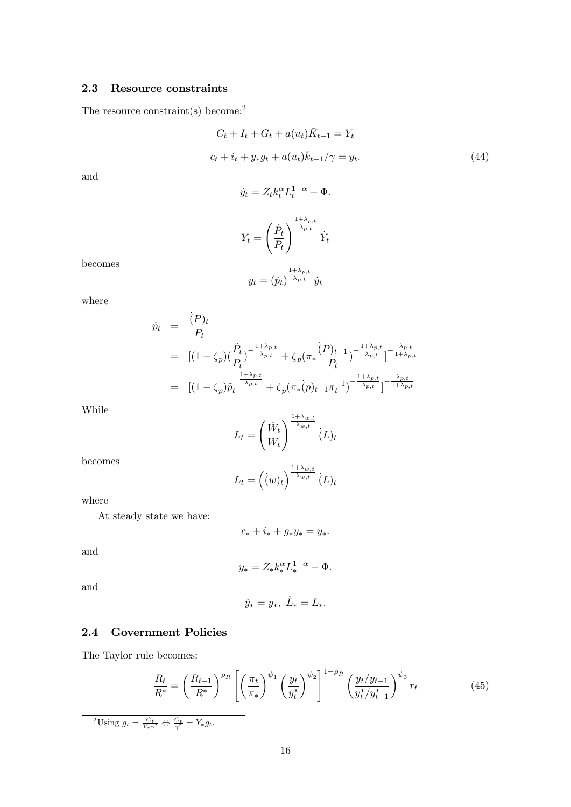#### 2.3 Resource constraints

The resource constraint(s) become:<sup>2</sup>

$$
C_t + I_t + G_t + a(u_t)\bar{K}_{t-1} = Y_t
$$
  

$$
c_t + i_t + y_*g_t + a(u_t)\bar{k}_{t-1}/\gamma = y_t.
$$
 (44)

and

$$
\dot{y}_t = Z_t k_t^{\alpha} L_t^{1-\alpha} - \Phi.
$$
\n
$$
Y_t = \left(\frac{\dot{P}_t}{P_t}\right)^{\frac{1+\lambda_{p,t}}{\lambda_{p,t}}} \dot{Y}_t
$$

becomes

$$
y_t = (\dot{p}_t)^{\frac{1+\lambda_{p,t}}{\lambda_{p,t}}} \dot{y}_t
$$

where

$$
\dot{p}_t = \frac{(P)_t}{P_t}
$$
\n
$$
= [(1 - \zeta_p)(\frac{\tilde{P}_t}{P_t})^{-\frac{1 + \lambda_{p,t}}{\lambda_{p,t}}} + \zeta_p(\pi_* \frac{(P)_{t-1}}{P_t})^{-\frac{1 + \lambda_{p,t}}{\lambda_{p,t}}}]^{-\frac{\lambda_{p,t}}{1 + \lambda_{p,t}}}
$$
\n
$$
= [(1 - \zeta_p)\tilde{p}_t^{-\frac{1 + \lambda_{p,t}}{\lambda_{p,t}}} + \zeta_p(\pi_* (p)_{t-1}\pi_t^{-1})^{-\frac{1 + \lambda_{p,t}}{\lambda_{p,t}}} ]^{-\frac{\lambda_{p,t}}{1 + \lambda_{p,t}}}
$$

While

$$
L_t = \left(\frac{\dot{W}_t}{W_t}\right)^{\frac{1+\lambda_{w,t}}{\lambda_{w,t}}} (L)_t
$$

 $L_t = \left((w)_t\right)^{\frac{1+\lambda_{w,t}}{\lambda_{w,t}}} (L)_t$ 

becomes

where

$$
f_{\rm{max}}
$$

At steady state we have:

$$
c_* + i_* + g_* y_* = y_*.
$$

and

$$
y_* = Z_* k_*^{\alpha} L_*^{1-\alpha} - \Phi.
$$

and

$$
\dot{y}_* = y_*, \ \dot{L}_* = L_*.
$$

#### 2.4 Government Policies

The Taylor rule becomes:

$$
\frac{R_t}{R^*} = \left(\frac{R_{t-1}}{R^*}\right)^{\rho_R} \left[ \left(\frac{\pi_t}{\pi_*}\right)^{\psi_1} \left(\frac{y_t}{y_t^*}\right)^{\psi_2} \right]^{1-\rho_R} \left(\frac{y_t/y_{t-1}}{y_t^*/y_{t-1}^*}\right)^{\psi_3} r_t \tag{45}
$$

<sup>2</sup>Using  $g_t = \frac{G_t}{Y_* \gamma^t} \Leftrightarrow \frac{G_t}{\gamma^t} = Y_* g_t.$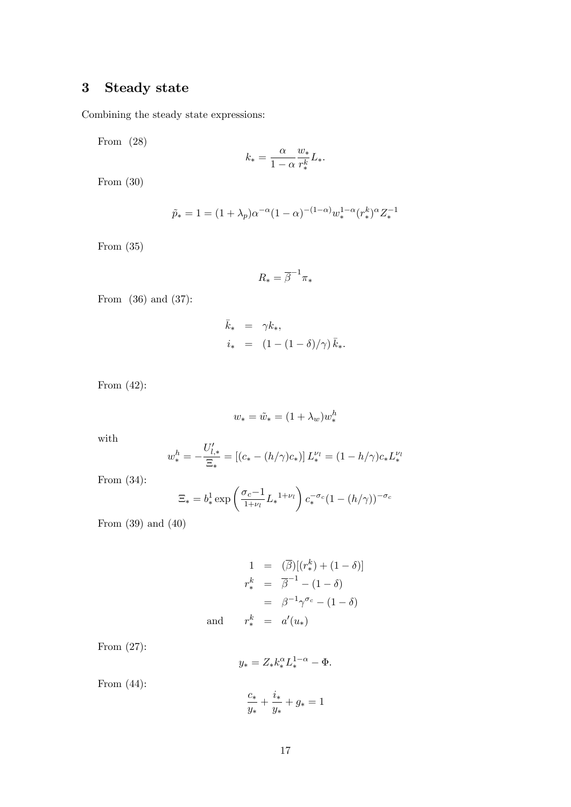## 3 Steady state

Combining the steady state expressions:

From (28)

$$
k_* = \frac{\alpha}{1 - \alpha} \frac{w_*}{r_*^k} L_*.
$$

From (30)

$$
\tilde{p}_* = 1 = (1 + \lambda_p)\alpha^{-\alpha}(1 - \alpha)^{-(1 - \alpha)}w_*^{1 - \alpha}(r_*^k)^{\alpha}Z_*^{-1}
$$

From (35)

$$
R_* = \overline{\beta}^{-1} \pi_*
$$

From (36) and (37):

$$
\begin{array}{rcl}\n\bar{k}_* & = & \gamma k_*, \\
i_* & = & \left(1 - \left(1 - \delta\right)/\gamma\right) \bar{k}_*.\n\end{array}
$$

From (42):

$$
w_* = \tilde{w}_* = (1 + \lambda_w)w_*^h
$$

with

$$
w_{*}^{h} = -\frac{U'_{l,*}}{\Xi_{*}} = [(c_{*} - (h/\gamma)c_{*})] L_{*}^{\nu_{l}} = (1 - h/\gamma)c_{*}L_{*}^{\nu_{l}}
$$

From (34):

$$
\Xi_* = b_*^1 \exp\left(\frac{\sigma_c - 1}{1 + \nu_l} L_*^{1 + \nu_l}\right) c_*^{-\sigma_c} (1 - (h/\gamma))^{-\sigma_c}
$$

From (39) and (40)

$$
1 = (\overline{\beta})[(r_*^k) + (1 - \delta)]
$$
  
\n
$$
r_*^k = \overline{\beta}^{-1} - (1 - \delta)
$$
  
\n
$$
= \beta^{-1}\gamma^{\sigma_c} - (1 - \delta)
$$
  
\nand 
$$
r_*^k = a'(u_*)
$$

From (27):

$$
y_* = Z_* k_*^{\alpha} L_*^{1-\alpha} - \Phi.
$$

From (44):

$$
\frac{c_*}{y_*} + \frac{i_*}{y_*} + g_* = 1
$$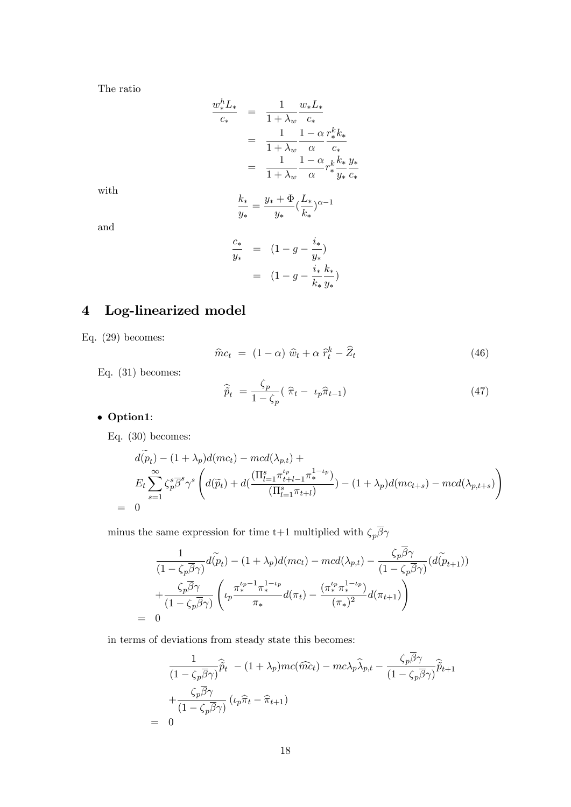The ratio

$$
\frac{w_{*}^{h} L_{*}}{c_{*}} = \frac{1}{1 + \lambda_{w}} \frac{w_{*} L_{*}}{c_{*}}
$$
\n
$$
= \frac{1}{1 + \lambda_{w}} \frac{1 - \alpha}{\alpha} \frac{r_{*}^{k} k_{*}}{c_{*}}
$$
\n
$$
= \frac{1}{1 + \lambda_{w}} \frac{1 - \alpha}{\alpha} r_{*}^{k} \frac{k_{*}}{y_{*}} \frac{y_{*}}{c_{*}}
$$

with

$$
\frac{k_*}{y_*} = \frac{y_* + \Phi}{y_*} (\frac{L_*}{k_*})^{\alpha - 1}
$$

and

$$
\frac{c_*}{y_*} = (1 - g - \frac{i_*}{y_*})
$$
  
=  $(1 - g - \frac{i_*}{k_*} \frac{k_*}{y_*})$ 

# 4 Log-linearized model

Eq. (29) becomes:

$$
\widehat{m}c_t = (1 - \alpha)\,\widehat{w}_t + \alpha\,\widehat{r}_t^k - \widehat{Z}_t \tag{46}
$$

Eq. (31) becomes:

$$
\widehat{\widetilde{p}}_t = \frac{\zeta_p}{1 - \zeta_p} (\widehat{\pi}_t - \iota_p \widehat{\pi}_{t-1}) \tag{47}
$$

### Option1:

Eq. (30) becomes:

$$
d(\tilde{p}_t) - (1 + \lambda_p) d(mc_t) - med(\lambda_{p,t}) +
$$
  
\n
$$
E_t \sum_{s=1}^{\infty} \zeta_p^s \overline{\beta}^s \gamma^s \left( d(\tilde{p}_t) + d(\frac{(\Pi_{l=1}^s \pi_{t+l-1}^{t_p} \pi_*^{1-t_p})}{(\Pi_{l=1}^s \pi_{t+l})}) - (1 + \lambda_p) d(mc_{t+s}) - mcd(\lambda_{p,t+s}) \right)
$$
  
\n= 0

minus the same expression for time t+1 multiplied with  $\zeta_p \overline{\beta} \gamma$ 

$$
\frac{1}{(1-\zeta_p\overline{\beta}\gamma)}d(\widetilde{p}_t) - (1+\lambda_p)d(mc_t) - mcd(\lambda_{p,t}) - \frac{\zeta_p\overline{\beta}\gamma}{(1-\zeta_p\overline{\beta}\gamma)}(d(\widetilde{p}_{t+1}))
$$
\n
$$
+\frac{\zeta_p\overline{\beta}\gamma}{(1-\zeta_p\overline{\beta}\gamma)}\left(\iota_p\frac{\pi_*^{\iota_p-1}\pi_*^{1-\iota_p}}{\pi_*}d(\pi_t) - \frac{(\pi_*^{\iota_p}\pi_*^{1-\iota_p})}{(\pi_*)^2}d(\pi_{t+1})\right)
$$
\n
$$
= 0
$$

in terms of deviations from steady state this becomes:

$$
\frac{1}{(1 - \zeta_p \overline{\beta} \gamma)} \widehat{\tilde{p}}_t - (1 + \lambda_p)mc(\widehat{mc}_t) - mc\lambda_p \widehat{\lambda}_{p,t} - \frac{\zeta_p \beta \gamma}{(1 - \zeta_p \overline{\beta} \gamma)} \widehat{\tilde{p}}_{t+1} + \frac{\zeta_p \overline{\beta} \gamma}{(1 - \zeta_p \overline{\beta} \gamma)} (\iota_p \widehat{\pi}_t - \widehat{\pi}_{t+1})
$$
\n
$$
= 0
$$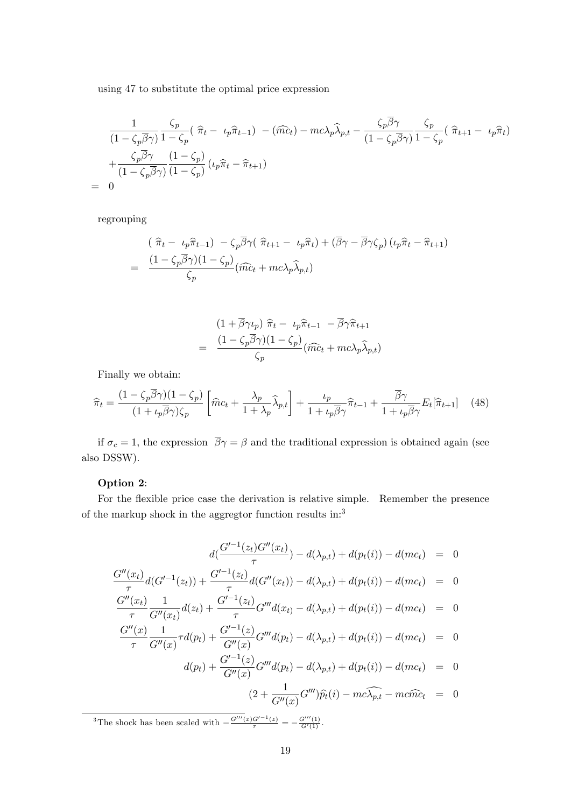using 47 to substitute the optimal price expression

$$
\frac{1}{(1-\zeta_p\overline{\beta}\gamma)}\frac{\zeta_p}{1-\zeta_p}(\hat{\pi}_t-\iota_p\hat{\pi}_{t-1})-(\hat{mc}_t)-mc\lambda_p\hat{\lambda}_{p,t}-\frac{\zeta_p\overline{\beta}\gamma}{(1-\zeta_p\overline{\beta}\gamma)}\frac{\zeta_p}{1-\zeta_p}(\hat{\pi}_{t+1}-\iota_p\hat{\pi}_t)+\frac{\zeta_p\overline{\beta}\gamma}{(1-\zeta_p\overline{\beta}\gamma)}\frac{(1-\zeta_p)}{(1-\zeta_p)}(\iota_p\hat{\pi}_t-\hat{\pi}_{t+1})= 0
$$

regrouping

$$
(\hat{\pi}_t - \iota_p \hat{\pi}_{t-1}) - \zeta_p \overline{\beta} \gamma (\hat{\pi}_{t+1} - \iota_p \hat{\pi}_t) + (\overline{\beta} \gamma - \overline{\beta} \gamma \zeta_p) (\iota_p \hat{\pi}_t - \hat{\pi}_{t+1})
$$
  
= 
$$
\frac{(1 - \zeta_p \overline{\beta} \gamma)(1 - \zeta_p)}{\zeta_p} (\widehat{mc}_t + mc\lambda_p \hat{\lambda}_{p,t})
$$

$$
(1 + \overline{\beta}\gamma \iota_p) \hat{\pi}_t - \iota_p \hat{\pi}_{t-1} - \overline{\beta}\gamma \hat{\pi}_{t+1}
$$

$$
= \frac{(1 - \zeta_p \overline{\beta}\gamma)(1 - \zeta_p)}{\zeta_p} (\widehat{mc}_t + mc\lambda_p \hat{\lambda}_{p,t})
$$

Finally we obtain:

$$
\widehat{\pi}_t = \frac{(1 - \zeta_p \overline{\beta} \gamma)(1 - \zeta_p)}{(1 + \iota_p \overline{\beta} \gamma)\zeta_p} \left[ \widehat{m}c_t + \frac{\lambda_p}{1 + \lambda_p} \widehat{\lambda}_{p,t} \right] + \frac{\iota_p}{1 + \iota_p \overline{\beta} \gamma} \widehat{\pi}_{t-1} + \frac{\overline{\beta} \gamma}{1 + \iota_p \overline{\beta} \gamma} E_t[\widehat{\pi}_{t+1}] \tag{48}
$$

if  $\sigma_c = 1$ , the expression  $\overline{\beta} \gamma = \beta$  and the traditional expression is obtained again (see also DSSW).

#### Option 2:

For the flexible price case the derivation is relative simple. Remember the presence of the markup shock in the aggregtor function results in:<sup>3</sup>

$$
d(\frac{G'^{-1}(z_t)G''(x_t)}{\tau}) - d(\lambda_{p,t}) + d(p_t(i)) - d(mc_t) = 0
$$
  

$$
\frac{G''(x_t)}{\tau}d(G'^{-1}(z_t)) + \frac{G'^{-1}(z_t)}{\tau}d(G''(x_t)) - d(\lambda_{p,t}) + d(p_t(i)) - d(mc_t) = 0
$$
  

$$
G''(x_t) = 1 - G'^{-1}(x_t)
$$

$$
\frac{G''(x_t)}{\tau} \frac{1}{G''(x_t)} d(z_t) + \frac{G'^{-1}(z_t)}{\tau} G'''d(x_t) - d(\lambda_{p,t}) + d(p_t(i)) - d(mc_t) = 0
$$
  

$$
G''(x) \quad 1 \quad \frac{G'^{-1}(z)}{\tau} G'''d(x_t) - d(\lambda_{p,t}) + d(p_t(i)) - d(mc_t) = 0
$$

$$
\frac{d''(x)}{\tau} \frac{1}{G''(x)} \tau d(p_t) + \frac{G'^{-1}(z)}{G''(x)} G''' d(p_t) - d(\lambda_{p,t}) + d(p_t(i)) - d(mc_t) = 0
$$
  

$$
d(p_t) + \frac{G'^{-1}(z)}{G''(x)} G''' d(p_t) - d(\lambda_{p,t}) + d(p_t(i)) - d(mc_t) = 0
$$

$$
(2 + \frac{1}{G''(x)}G''')\widehat{p_t}(i) - mc\widehat{\lambda_{p,t}} - mc\widehat{mc_t} = 0
$$

<sup>3</sup>The shock has been scaled with  $-\frac{G'''(x)G'^{-1}(z)}{\tau} = -\frac{G'''(1)}{G'(1)}$ .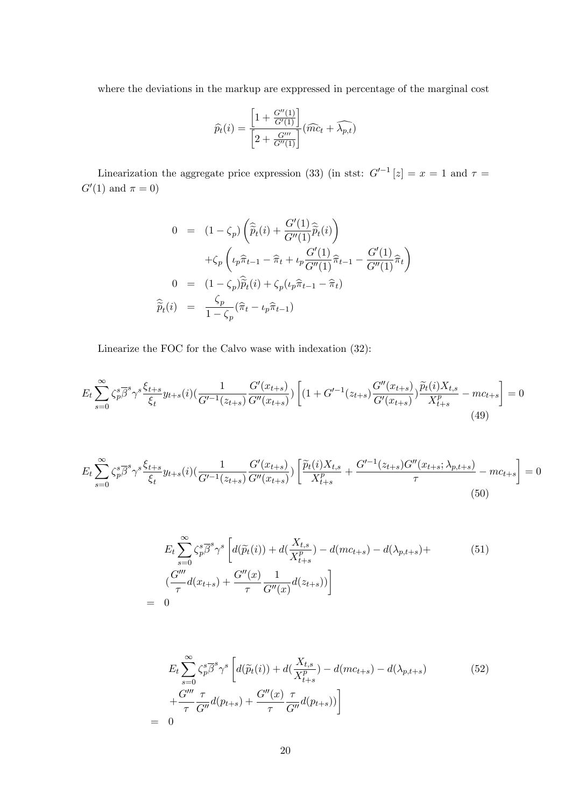where the deviations in the markup are exppressed in percentage of the marginal cost

$$
\widehat{p_t}(i) = \frac{\left[1 + \frac{G''(1)}{G'(1)}\right]}{\left[2 + \frac{G'''}{G''(1)}\right]}(\widehat{mc}_t + \widehat{\lambda_{p,t}})
$$

Linearization the aggregate price expression (33) (in stst:  $G<sup>t-1</sup>[z] = x = 1$  and  $\tau =$  $G'(1)$  and  $\pi = 0$ )

$$
0 = (1 - \zeta_p) \left( \widehat{\tilde{p}}_t(i) + \frac{G'(1)}{G''(1)} \widehat{\tilde{p}}_t(i) \right)
$$
  
+  $\zeta_p \left( \iota_p \widehat{\pi}_{t-1} - \widehat{\pi}_t + \iota_p \frac{G'(1)}{G''(1)} \widehat{\pi}_{t-1} - \frac{G'(1)}{G''(1)} \widehat{\pi}_t \right)$   

$$
0 = (1 - \zeta_p) \widehat{\tilde{p}}_t(i) + \zeta_p (\iota_p \widehat{\pi}_{t-1} - \widehat{\pi}_t)
$$
  
 $\widehat{\tilde{p}}_t(i) = \frac{\zeta_p}{1 - \zeta_p} (\widehat{\pi}_t - \iota_p \widehat{\pi}_{t-1})$ 

Linearize the FOC for the Calvo wase with indexation (32):

$$
E_t \sum_{s=0}^{\infty} \zeta_p^s \overline{\beta}^s \gamma^s \frac{\xi_{t+s}}{\xi_t} y_{t+s}(i) \left( \frac{1}{G'^{-1}(z_{t+s})} \frac{G'(x_{t+s})}{G''(x_{t+s})} \right) \left[ (1 + G'^{-1}(z_{t+s}) \frac{G''(x_{t+s})}{G'(x_{t+s})}) \frac{\widetilde{p}_t(i) X_{t,s}}{X_{t+s}^p} - mc_{t+s} \right] = 0
$$
\n(49)

$$
E_t \sum_{s=0}^{\infty} \zeta_p^s \overline{\beta}^s \gamma^s \frac{\xi_{t+s}}{\xi_t} y_{t+s}(i) \left( \frac{1}{G'^{-1}(z_{t+s})} \frac{G'(x_{t+s})}{G''(x_{t+s})} \right) \left[ \frac{\widetilde{p}_t(i) X_{t,s}}{X_{t+s}^p} + \frac{G'^{-1}(z_{t+s})G''(x_{t+s}; \lambda_{p,t+s})}{\tau} - mc_{t+s} \right] = 0
$$
\n(50)

$$
E_t \sum_{s=0}^{\infty} \zeta_p^s \overline{\beta}^s \gamma^s \left[ d(\widetilde{p}_t(i)) + d(\frac{X_{t,s}}{X_{t+s}^p}) - d(mc_{t+s}) - d(\lambda_{p,t+s}) + \frac{G'''}{\tau} d(x_{t+s}) + \frac{G''(x)}{\tau} \frac{1}{G''(x)} d(z_{t+s})) \right]
$$
\n
$$
= 0
$$
\n(51)

$$
E_t \sum_{s=0}^{\infty} \zeta_p^s \overline{\beta}^s \gamma^s \left[ d(\widetilde{p}_t(i)) + d(\frac{X_{t,s}}{X_{t+s}^p}) - d(mc_{t+s}) - d(\lambda_{p,t+s}) \right] + \frac{G'''}{\tau} \frac{\tau}{G''} d(p_{t+s}) + \frac{G''(x)}{\tau} \frac{\tau}{G''} d(p_{t+s})) \right]
$$
(52)  
= 0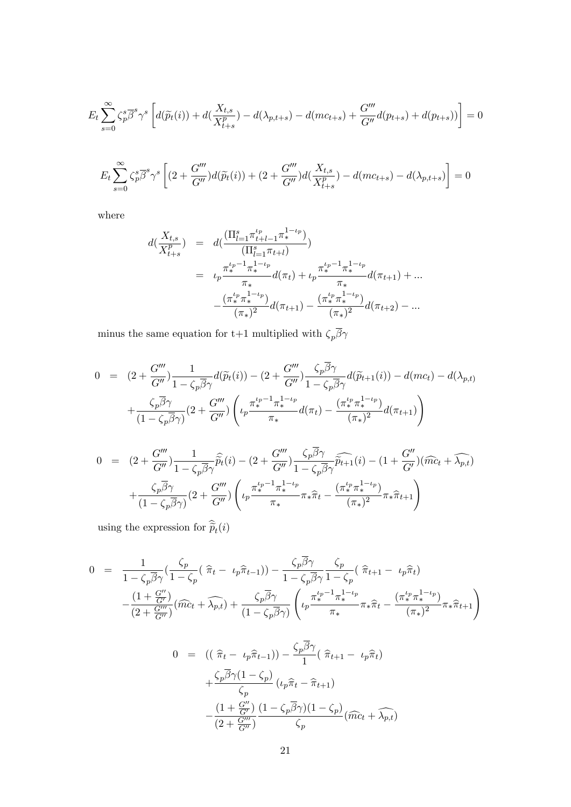$$
E_t \sum_{s=0}^{\infty} \zeta_p^s \overline{\beta}^s \gamma^s \left[ d(\widetilde{p}_t(i)) + d(\frac{X_{t,s}}{X_{t+s}^p}) - d(\lambda_{p,t+s}) - d(mc_{t+s}) + \frac{G'''}{G''} d(p_{t+s}) + d(p_{t+s})) \right] = 0
$$

$$
E_t \sum_{s=0}^{\infty} \zeta_p^s \overline{\beta}^s \gamma^s \left[ (2 + \frac{G'''}{G''}) d(\widetilde{p}_t(i)) + (2 + \frac{G'''}{G''}) d(\frac{X_{t,s}}{X_{t+s}^p}) - d(mc_{t+s}) - d(\lambda_{p,t+s}) \right] = 0
$$

where

$$
d(\frac{X_{t,s}}{X_{t+s}^p}) = d(\frac{(\Pi_{l=1}^s \pi_{t+l-1}^{t_p} \pi_*^{1-t_p})}{(\Pi_{l=1}^s \pi_{t+l})})
$$
  

$$
= \iota_p \frac{\pi_*^{t_p-1} \pi_*^{1-t_p}}{\pi_*} d(\pi_t) + \iota_p \frac{\pi_*^{t_p-1} \pi_*^{1-t_p}}{\pi_*} d(\pi_{t+1}) + \dots
$$

$$
-\frac{(\pi_*^{t_p} \pi_*^{1-t_p})}{(\pi_*)^2} d(\pi_{t+1}) - \frac{(\pi_*^{t_p} \pi_*^{1-t_p})}{(\pi_*)^2} d(\pi_{t+2}) - \dots
$$

minus the same equation for t+1 multiplied with  $\zeta_p\overline{\beta}\gamma$ 

$$
0 = (2 + \frac{G'''}{G''}) \frac{1}{1 - \zeta_p \overline{\beta} \gamma} d(\widetilde{p}_t(i)) - (2 + \frac{G'''}{G''}) \frac{\zeta_p \overline{\beta} \gamma}{1 - \zeta_p \overline{\beta} \gamma} d(\widetilde{p}_{t+1}(i)) - d(mc_t) - d(\lambda_{p,t})
$$
  
+ 
$$
\frac{\zeta_p \overline{\beta} \gamma}{(1 - \zeta_p \overline{\beta} \gamma)} (2 + \frac{G'''}{G''}) \left( \iota_p \frac{\pi_{*}^{\iota_p - 1} \pi_{*}^{1 - \iota_p}}{\pi_{*}} d(\pi_t) - \frac{(\pi_{*}^{\iota_p} \pi_{*}^{1 - \iota_p})}{(\pi_{*})^2} d(\pi_{t+1}) \right)
$$
  

$$
0 = (2 + \frac{G'''}{G''}) \frac{1}{1 - \zeta_p \overline{\widehat{p}}_t(i)} - (2 + \frac{G'''}{G''}) \frac{\zeta_p \overline{\beta} \gamma}{1 - \zeta_p \overline{\widehat{p}}_{t+1}(i)} - (1 + \frac{G''}{G''}) (\widehat{mc}_t + \widehat{\lambda_{p,t}})
$$

$$
0 = (2 + \frac{G'''}{G''}) \frac{1}{1 - \zeta_p \overline{\beta} \gamma} \widehat{\widetilde{p}}_t(i) - (2 + \frac{G'''}{G''}) \frac{\zeta_p \beta \gamma}{1 - \zeta_p \overline{\beta} \gamma} \widehat{\widetilde{p}}_{t+1}(i) - (1 + \frac{G''}{G'}) (\widehat{mc}_t + \widehat{\lambda_{p,t}})
$$

$$
+ \frac{\zeta_p \overline{\beta} \gamma}{(1 - \zeta_p \overline{\beta} \gamma)} (2 + \frac{G'''}{G''}) \left( \iota_p \frac{\pi_*^{t_p - 1} \pi_*^{1 - t_p}}{\pi_*} \pi_* \widehat{\pi}_t - \frac{(\pi_*^{t_p} \pi_*^{1 - t_p})}{(\pi_*)^2} \pi_* \widehat{\pi}_{t+1} \right)
$$

using the expression for  $\tilde{p}_t(i)$ 

$$
0 = \frac{1}{1 - \zeta_p \overline{\beta} \gamma} \left( \frac{\zeta_p}{1 - \zeta_p} \left( \widehat{\pi}_t - \iota_p \widehat{\pi}_{t-1} \right) \right) - \frac{\zeta_p \overline{\beta} \gamma}{1 - \zeta_p \overline{\beta} \gamma} \frac{\zeta_p}{1 - \zeta_p} \left( \widehat{\pi}_{t+1} - \iota_p \widehat{\pi}_t \right)
$$

$$
- \frac{\left( 1 + \frac{G''}{G'} \right)}{\left( 2 + \frac{G'''}{G''} \right)} \left( \widehat{mc}_t + \widehat{\lambda}_{p,t} \right) + \frac{\zeta_p \overline{\beta} \gamma}{\left( 1 - \zeta_p \overline{\beta} \gamma \right)} \left( \iota_p \frac{\pi_*^{t_p - 1} \pi_*^{1 - t_p}}{\pi_*} \pi_* \widehat{\pi}_t - \frac{\left( \pi_*^{t_p} \pi_*^{1 - t_p} \right)}{\left( \pi_* \right)^2} \pi_* \widehat{\pi}_{t+1} \right)
$$

$$
0 = ((\hat{\pi}_t - \iota_p \hat{\pi}_{t-1})) - \frac{\zeta_p \overline{\beta} \gamma}{1} (\hat{\pi}_{t+1} - \iota_p \hat{\pi}_t)
$$
  
+ 
$$
\frac{\zeta_p \overline{\beta} \gamma (1 - \zeta_p)}{\zeta_p} (\iota_p \hat{\pi}_t - \hat{\pi}_{t+1})
$$
  
- 
$$
\frac{(1 + \frac{G''}{G'})}{(2 + \frac{G'''}{G'})} \frac{(1 - \zeta_p \overline{\beta} \gamma)(1 - \zeta_p)}{\zeta_p} (\hat{mc}_t + \widehat{\lambda_{p,t}})
$$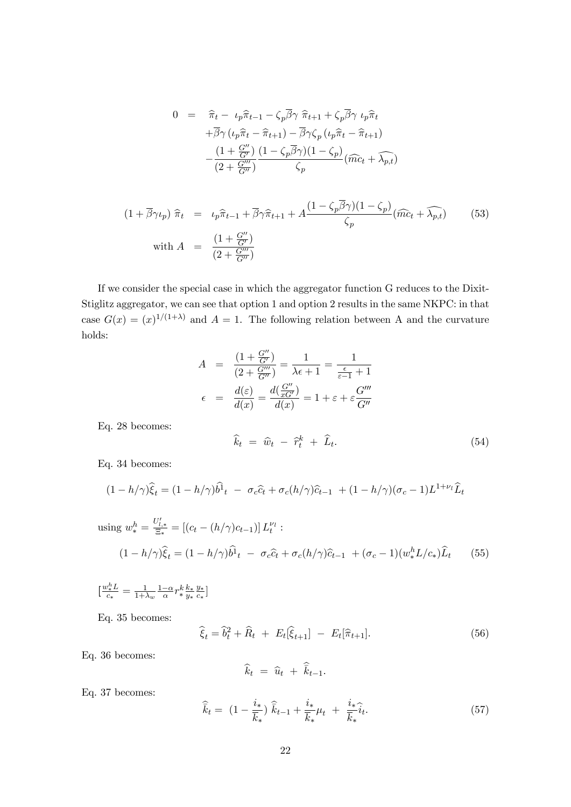$$
0 = \hat{\pi}_t - \iota_p \hat{\pi}_{t-1} - \zeta_p \overline{\beta} \gamma \hat{\pi}_{t+1} + \zeta_p \overline{\beta} \gamma \iota_p \hat{\pi}_t + \overline{\beta} \gamma (\iota_p \hat{\pi}_t - \hat{\pi}_{t+1}) - \overline{\beta} \gamma \zeta_p (\iota_p \hat{\pi}_t - \hat{\pi}_{t+1}) - \frac{(1 + \frac{G''}{G})}{(2 + \frac{G'''}{G'})} \frac{(1 - \zeta_p \overline{\beta} \gamma)(1 - \zeta_p)}{\zeta_p} (\widehat{mc}_t + \widehat{\lambda}_{p,t})
$$

$$
(1 + \overline{\beta}\gamma \iota_p) \hat{\pi}_t = \iota_p \hat{\pi}_{t-1} + \overline{\beta}\gamma \hat{\pi}_{t+1} + A \frac{(1 - \zeta_p \overline{\beta}\gamma)(1 - \zeta_p)}{\zeta_p} (\widehat{mc}_t + \widehat{\lambda_{p,t}})
$$
(53)  
with  $A = \frac{(1 + \frac{G''}{G'})}{(2 + \frac{G'''}{G''})}$ 

If we consider the special case in which the aggregator function G reduces to the Dixit-Stiglitz aggregator, we can see that option 1 and option 2 results in the same NKPC: in that case  $G(x) = (x)^{1/(1+\lambda)}$  and  $A = 1$ . The following relation between A and the curvature holds:

$$
A = \frac{(1 + \frac{G''}{G'})}{(2 + \frac{G'''}{G''})} = \frac{1}{\lambda \epsilon + 1} = \frac{1}{\frac{\epsilon}{\epsilon - 1} + 1}
$$

$$
\epsilon = \frac{d(\epsilon)}{d(x)} = \frac{d(\frac{G''}{xG'})}{d(x)} = 1 + \epsilon + \epsilon \frac{G'''}{G''}
$$

Eq. 28 becomes:

$$
\widehat{k}_t = \widehat{w}_t - \widehat{r}_t^k + \widehat{L}_t. \tag{54}
$$

Eq. 34 becomes:

$$
(1-h/\gamma)\widehat{\xi}_t = (1-h/\gamma)\widehat{b^1}_t - \sigma_c \widehat{c}_t + \sigma_c(h/\gamma)\widehat{c}_{t-1} + (1-h/\gamma)(\sigma_c - 1)L^{1+\nu_l}\widehat{L}_t
$$

using 
$$
w_*^h = \frac{U'_{l,*}}{\Xi_*} = [(c_t - (h/\gamma)c_{t-1})] L_t^{\nu_l}
$$
:  
\n
$$
(1 - h/\gamma)\hat{\xi}_t = (1 - h/\gamma)\hat{b}_t - \sigma_c \hat{c}_t + \sigma_c (h/\gamma)\hat{c}_{t-1} + (\sigma_c - 1)(w_*^h L/c_*)\hat{L}_t \qquad (55)
$$

 $\left[\frac{w_{*}^{h}L}{c}\right]$  $\frac{v_*^n L}{c_*} = \frac{1}{1+2}$  $\frac{1}{1+\lambda_w}\frac{1-\alpha}{\alpha}r_*^k$  $rac{k}{*}\frac{k_{*}}{y_{*}}$  $\overline{y_*}$  $\frac{y_{*}}{y_{*}}$  $\frac{y_*}{c_*}$ ]

Eq. 35 becomes:

$$
\hat{\xi}_t = \hat{b}_t^2 + \hat{R}_t + E_t[\hat{\xi}_{t+1}] - E_t[\hat{\pi}_{t+1}].
$$
\n(56)

Eq. 36 becomes:

$$
\widehat{k}_t = \widehat{u}_t + \widehat{\overline{k}}_{t-1}.
$$

Eq. 37 becomes:

$$
\widehat{\bar{k}}_t = (1 - \frac{i_*}{\overline{k}_*}) \widehat{\bar{k}}_{t-1} + \frac{i_*}{\overline{k}_*} \mu_t + \frac{i_*}{\overline{k}_*} \widehat{i}_t.
$$
\n(57)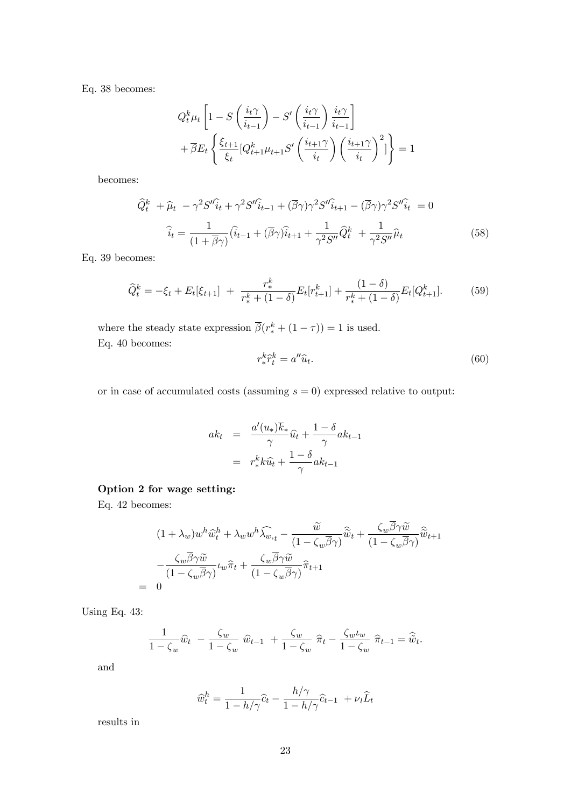Eq. 38 becomes:

$$
Q_t^k \mu_t \left[ 1 - S\left(\frac{i_t \gamma}{i_{t-1}}\right) - S'\left(\frac{i_t \gamma}{i_{t-1}}\right) \frac{i_t \gamma}{i_{t-1}} \right] + \overline{\beta} E_t \left\{ \frac{\xi_{t+1}}{\xi_t} [Q_{t+1}^k \mu_{t+1} S'\left(\frac{i_{t+1} \gamma}{i_t}\right) \left(\frac{i_{t+1} \gamma}{i_t}\right)^2] \right\} = 1
$$

becomes:

$$
\widehat{Q}_t^k + \widehat{\mu}_t - \gamma^2 S'' \widehat{i}_t + \gamma^2 S'' \widehat{i}_{t-1} + (\overline{\beta}\gamma)\gamma^2 S'' \widehat{i}_{t+1} - (\overline{\beta}\gamma)\gamma^2 S'' \widehat{i}_t = 0
$$
  

$$
\widehat{i}_t = \frac{1}{(1+\overline{\beta}\gamma)} (\widehat{i}_{t-1} + (\overline{\beta}\gamma)\widehat{i}_{t+1} + \frac{1}{\gamma^2 S''} \widehat{Q}_t^k + \frac{1}{\gamma^2 S''} \widehat{\mu}_t
$$
(58)

Eq. 39 becomes:

$$
\widehat{Q}_t^k = -\xi_t + E_t[\xi_{t+1}] + \frac{r_*^k}{r_*^k + (1-\delta)} E_t[r_{t+1}^k] + \frac{(1-\delta)}{r_*^k + (1-\delta)} E_t[Q_{t+1}^k].\tag{59}
$$

where the steady state expression  $\overline{\beta}(r_*^k + (1 - \tau)) = 1$  is used. Eq. 40 becomes:

$$
r_*^k \hat{r}_t^k = a'' \hat{u}_t. \tag{60}
$$

or in case of accumulated costs (assuming  $s = 0$ ) expressed relative to output:

$$
ak_t = \frac{a'(u_*)\overline{k}_*}{\gamma}\widehat{u}_t + \frac{1-\delta}{\gamma}ak_{t-1}
$$

$$
= r_*^k k \widehat{u}_t + \frac{1-\delta}{\gamma}ak_{t-1}
$$

### Option 2 for wage setting:

Eq. 42 becomes:

 $=$ 

$$
(1 + \lambda_w) w^h \widehat{w}_t^h + \lambda_w w^h \widehat{\lambda_{w,t}} - \frac{\widetilde{w}}{(1 - \zeta_w \overline{\beta} \gamma)} \widehat{\widetilde{w}}_t + \frac{\zeta_w \beta \gamma \widetilde{w}}{(1 - \zeta_w \overline{\beta} \gamma)} \widehat{\widetilde{w}}_{t+1}
$$

$$
- \frac{\zeta_w \overline{\beta} \gamma \widetilde{w}}{(1 - \zeta_w \overline{\beta} \gamma)} \iota_w \widehat{\pi}_t + \frac{\zeta_w \overline{\beta} \gamma \widetilde{w}}{(1 - \zeta_w \overline{\beta} \gamma)} \widehat{\pi}_{t+1}
$$
0

Using Eq. 43:

$$
\frac{1}{1-\zeta_w}\widehat{w}_t - \frac{\zeta_w}{1-\zeta_w}\widehat{w}_{t-1} + \frac{\zeta_w}{1-\zeta_w}\widehat{\pi}_t - \frac{\zeta_w\iota_w}{1-\zeta_w}\widehat{\pi}_{t-1} = \widehat{\widetilde{w}}_t.
$$

and

$$
\widehat{w}_t^h = \frac{1}{1 - h/\gamma}\widehat{c}_t - \frac{h/\gamma}{1 - h/\gamma}\widehat{c}_{t-1} + \nu_l \widehat{L}_t
$$

results in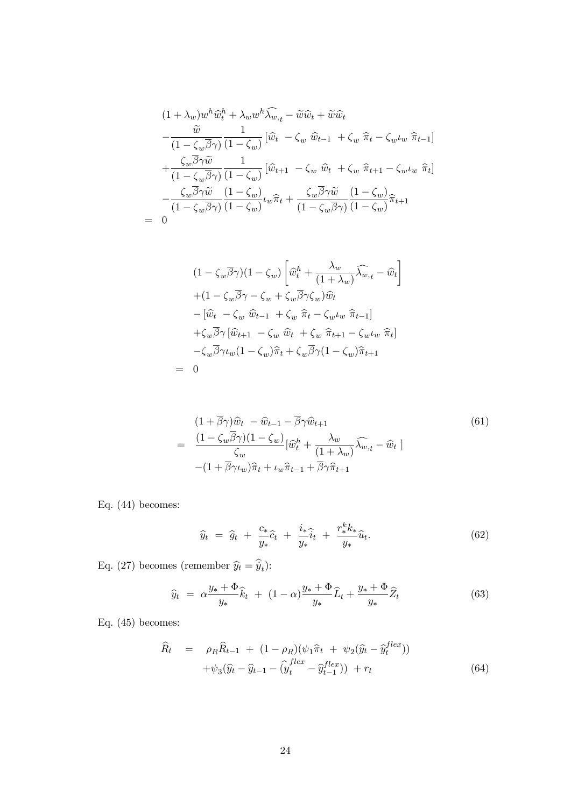$$
(1 + \lambda_w) w^h \widehat{w}_t^h + \lambda_w w^h \widehat{\lambda_{w,t}} - \widetilde{w} \widehat{w}_t + \widetilde{w} \widehat{w}_t
$$
  
\n
$$
- \frac{\widetilde{w}}{(1 - \zeta_w \overline{\beta} \gamma)} \frac{1}{(1 - \zeta_w)} [\widehat{w}_t - \zeta_w \widehat{w}_{t-1} + \zeta_w \widehat{\pi}_t - \zeta_w \iota_w \widehat{\pi}_{t-1}]
$$
  
\n
$$
+ \frac{\zeta_w \overline{\beta} \gamma \widetilde{w}}{(1 - \zeta_w \overline{\beta} \gamma)} \frac{1}{(1 - \zeta_w)} [\widehat{w}_{t+1} - \zeta_w \widehat{w}_t + \zeta_w \widehat{\pi}_{t+1} - \zeta_w \iota_w \widehat{\pi}_t]
$$
  
\n
$$
- \frac{\zeta_w \overline{\beta} \gamma \widetilde{w}}{(1 - \zeta_w \overline{\beta} \gamma)} \frac{(1 - \zeta_w)}{(1 - \zeta_w)} \iota_w \widehat{\pi}_t + \frac{\zeta_w \overline{\beta} \gamma \widetilde{w}}{(1 - \zeta_w \overline{\beta} \gamma)} \frac{(1 - \zeta_w)}{(1 - \zeta_w)} \widehat{\pi}_{t+1}
$$
  
\n= 0

$$
(1 - \zeta_w \overline{\beta} \gamma)(1 - \zeta_w) \left[ \widehat{w}_t^h + \frac{\lambda_w}{(1 + \lambda_w)} \widehat{\lambda_{w,t}} - \widehat{w}_t \right]
$$
  
+ 
$$
(1 - \zeta_w \overline{\beta} \gamma - \zeta_w + \zeta_w \overline{\beta} \gamma \zeta_w) \widehat{w}_t
$$
  
- 
$$
[\widehat{w}_t - \zeta_w \widehat{w}_{t-1} + \zeta_w \widehat{\pi}_t - \zeta_w \iota_w \widehat{\pi}_{t-1}]
$$
  
+ 
$$
\zeta_w \overline{\beta} \gamma [\widehat{w}_{t+1} - \zeta_w \widehat{w}_t + \zeta_w \widehat{\pi}_{t+1} - \zeta_w \iota_w \widehat{\pi}_t]
$$
  
- 
$$
\zeta_w \overline{\beta} \gamma \iota_w (1 - \zeta_w) \widehat{\pi}_t + \zeta_w \overline{\beta} \gamma (1 - \zeta_w) \widehat{\pi}_{t+1}
$$
  
= 0

$$
(61)
$$
\n
$$
= \frac{(1 + \overline{\beta}\gamma)\widehat{w}_t - \widehat{w}_{t-1} - \overline{\beta}\gamma\widehat{w}_{t+1}}{\zeta_w} [\widehat{w}_t^h + \frac{\lambda_w}{(1 + \lambda_w)}\widehat{\lambda_{w}_{t}} - \widehat{w}_t]
$$
\n
$$
- (1 + \overline{\beta}\gamma\iota_w)\widehat{\pi}_t + \iota_w\widehat{\pi}_{t-1} + \overline{\beta}\gamma\widehat{\pi}_{t+1}
$$

Eq. (44) becomes:

$$
\widehat{y}_t = \widehat{g}_t + \frac{c_*}{y_*}\widehat{c}_t + \frac{i_*}{y_*}\widehat{i}_t + \frac{r_*^k k_*}{y_*}\widehat{u}_t.
$$
\n(62)

Eq. (27) becomes (remember  $\hat{y}_t = \dot{y}_t$ ):

$$
\widehat{y}_t = \alpha \frac{y_* + \Phi}{y_*} \widehat{k}_t + (1 - \alpha) \frac{y_* + \Phi}{y_*} \widehat{L}_t + \frac{y_* + \Phi}{y_*} \widehat{Z}_t \tag{63}
$$

Eq. (45) becomes:

$$
\widehat{R}_t = \rho_R \widehat{R}_{t-1} + (1 - \rho_R)(\psi_1 \widehat{\pi}_t + \psi_2(\widehat{y}_t - \widehat{y}_t^{flex})) \n+ \psi_3(\widehat{y}_t - \widehat{y}_{t-1} - (\widehat{y}_t^{flex} - \widehat{y}_{t-1}^{flex})) + r_t
$$
\n(64)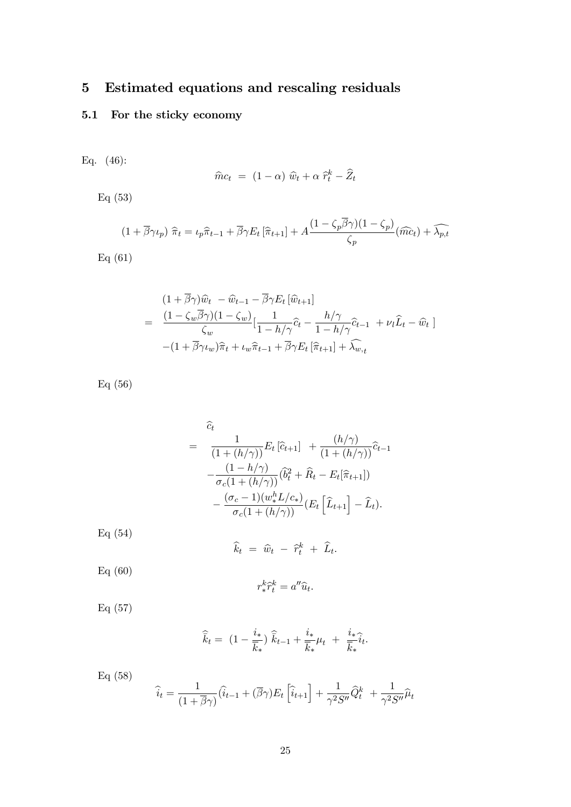# 5 Estimated equations and rescaling residuals

## 5.1 For the sticky economy

Eq. (46):

$$
\widehat{m}c_t = (1 - \alpha) \widehat{w}_t + \alpha \widehat{r}_t^k - \widehat{Z}_t
$$

Eq (53)

$$
(1 + \overline{\beta}\gamma \iota_p) \; \widehat{\pi}_t = \iota_p \widehat{\pi}_{t-1} + \overline{\beta}\gamma E_t \left[ \widehat{\pi}_{t+1} \right] + A \frac{(1 - \zeta_p \beta \gamma)(1 - \zeta_p)}{\zeta_p} (\widehat{mc}_t) + \widehat{\lambda_{p,t}}
$$

Eq (61)

$$
(1 + \overline{\beta}\gamma)\widehat{w}_t - \widehat{w}_{t-1} - \overline{\beta}\gamma E_t [\widehat{w}_{t+1}]
$$
  
= 
$$
\frac{(1 - \zeta_w \overline{\beta}\gamma)(1 - \zeta_w)}{\zeta_w} [\frac{1}{1 - h/\gamma}\widehat{c}_t - \frac{h/\gamma}{1 - h/\gamma}\widehat{c}_{t-1} + \nu_l \widehat{L}_t - \widehat{w}_t]
$$
  
- 
$$
(1 + \overline{\beta}\gamma \iota_w)\widehat{\pi}_t + \iota_w \widehat{\pi}_{t-1} + \overline{\beta}\gamma E_t [\widehat{\pi}_{t+1}] + \widehat{\lambda}_{w,t}
$$

Eq (56)

$$
= \frac{\widehat{c}_t}{(1+(h/\gamma))} E_t \left[\widehat{c}_{t+1}\right] + \frac{(h/\gamma)}{(1+(h/\gamma))} \widehat{c}_{t-1}
$$

$$
- \frac{(1-h/\gamma)}{\sigma_c(1+(h/\gamma))} \left(\widehat{b}_t^2 + \widehat{R}_t - E_t[\widehat{\pi}_{t+1}]\right)
$$

$$
- \frac{(\sigma_c-1)(w_*^h L/c_*)}{\sigma_c(1+(h/\gamma))} \left(E_t \left[\widehat{L}_{t+1}\right] - \widehat{L}_t\right).
$$

Eq (54)

$$
\widehat{k}_t = \widehat{w}_t - \widehat{r}_t^k + \widehat{L}_t.
$$

Eq (60)

$$
r_*^k \hat{r}_t^k = a'' \hat{u}_t.
$$

Eq (57)

$$
\widehat{\overline{k}}_t = (1 - \frac{i_*}{\overline{k}_*}) \widehat{\overline{k}}_{t-1} + \frac{i_*}{\overline{k}_*} \mu_t + \frac{i_*}{\overline{k}_*} \widehat{i}_t.
$$

Eq (58)

$$
\widehat{i}_t = \frac{1}{(1+\overline{\beta}\gamma)}(\widehat{i}_{t-1} + (\overline{\beta}\gamma)E_t\left[\widehat{i}_{t+1}\right] + \frac{1}{\gamma^2 S''}\widehat{Q}_t^k + \frac{1}{\gamma^2 S''}\widehat{\mu}_t
$$